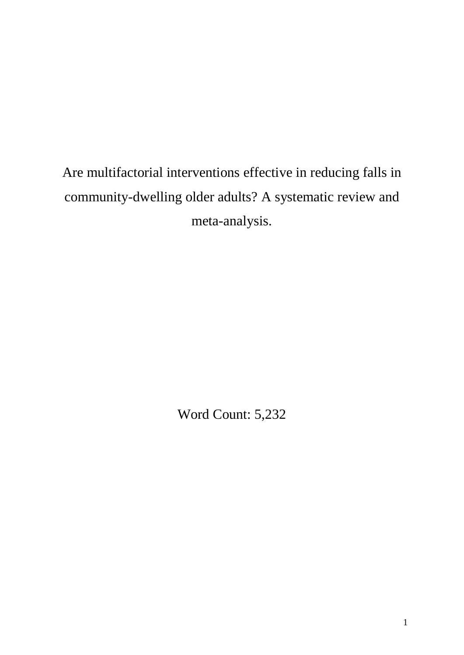# Are multifactorial interventions effective in reducing falls in community-dwelling older adults? A systematic review and meta-analysis.

Word Count: 5,232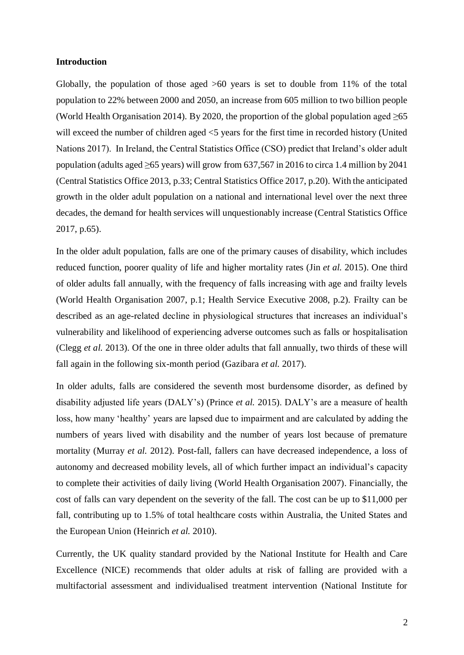#### **Introduction**

Globally, the population of those aged  $>60$  years is set to double from 11% of the total population to 22% between 2000 and 2050, an increase from 605 million to two billion people (World Health Organisation 2014). By 2020, the proportion of the global population aged  $\geq 65$ will exceed the number of children aged <5 years for the first time in recorded history (United Nations 2017). In Ireland, the Central Statistics Office (CSO) predict that Ireland's older adult population (adults aged ≥65 years) will grow from 637,567 in 2016 to circa 1.4 million by 2041 (Central Statistics Office 2013, p.33; Central Statistics Office 2017, p.20). With the anticipated growth in the older adult population on a national and international level over the next three decades, the demand for health services will unquestionably increase (Central Statistics Office 2017, p.65).

In the older adult population, falls are one of the primary causes of disability, which includes reduced function, poorer quality of life and higher mortality rates (Jin *et al.* 2015). One third of older adults fall annually, with the frequency of falls increasing with age and frailty levels (World Health Organisation 2007, p.1; Health Service Executive 2008, p.2). Frailty can be described as an age-related decline in physiological structures that increases an individual's vulnerability and likelihood of experiencing adverse outcomes such as falls or hospitalisation (Clegg *et al.* 2013). Of the one in three older adults that fall annually, two thirds of these will fall again in the following six-month period (Gazibara *et al.* 2017).

In older adults, falls are considered the seventh most burdensome disorder, as defined by disability adjusted life years (DALY's) (Prince *et al.* 2015). DALY's are a measure of health loss, how many 'healthy' years are lapsed due to impairment and are calculated by adding the numbers of years lived with disability and the number of years lost because of premature mortality (Murray *et al.* 2012). Post-fall, fallers can have decreased independence, a loss of autonomy and decreased mobility levels, all of which further impact an individual's capacity to complete their activities of daily living (World Health Organisation 2007). Financially, the cost of falls can vary dependent on the severity of the fall. The cost can be up to \$11,000 per fall, contributing up to 1.5% of total healthcare costs within Australia, the United States and the European Union (Heinrich *et al.* 2010).

Currently, the UK quality standard provided by the National Institute for Health and Care Excellence (NICE) recommends that older adults at risk of falling are provided with a multifactorial assessment and individualised treatment intervention (National Institute for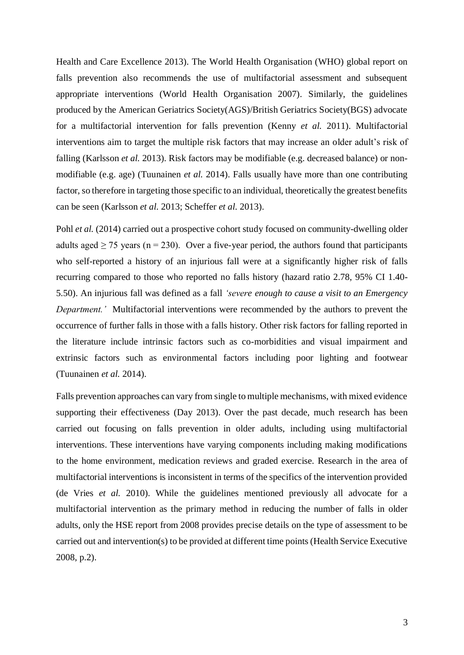Health and Care Excellence 2013). The World Health Organisation (WHO) global report on falls prevention also recommends the use of multifactorial assessment and subsequent appropriate interventions (World Health Organisation 2007). Similarly, the guidelines produced by the American Geriatrics Society(AGS)/British Geriatrics Society(BGS) advocate for a multifactorial intervention for falls prevention (Kenny *et al.* 2011). Multifactorial interventions aim to target the multiple risk factors that may increase an older adult's risk of falling (Karlsson *et al.* 2013). Risk factors may be modifiable (e.g. decreased balance) or nonmodifiable (e.g. age) (Tuunainen *et al.* 2014). Falls usually have more than one contributing factor, so therefore in targeting those specific to an individual, theoretically the greatest benefits can be seen (Karlsson *et al.* 2013; Scheffer *et al.* 2013).

Pohl *et al.* (2014) carried out a prospective cohort study focused on community-dwelling older adults aged  $\geq$  75 years (n = 230). Over a five-year period, the authors found that participants who self-reported a history of an injurious fall were at a significantly higher risk of falls recurring compared to those who reported no falls history (hazard ratio 2.78, 95% CI 1.40- 5.50). An injurious fall was defined as a fall *'severe enough to cause a visit to an Emergency Department.'* Multifactorial interventions were recommended by the authors to prevent the occurrence of further falls in those with a falls history. Other risk factors for falling reported in the literature include intrinsic factors such as co-morbidities and visual impairment and extrinsic factors such as environmental factors including poor lighting and footwear (Tuunainen *et al.* 2014).

Falls prevention approaches can vary from single to multiple mechanisms, with mixed evidence supporting their effectiveness (Day 2013). Over the past decade, much research has been carried out focusing on falls prevention in older adults, including using multifactorial interventions. These interventions have varying components including making modifications to the home environment, medication reviews and graded exercise. Research in the area of multifactorial interventions is inconsistent in terms of the specifics of the intervention provided (de Vries *et al.* 2010). While the guidelines mentioned previously all advocate for a multifactorial intervention as the primary method in reducing the number of falls in older adults, only the HSE report from 2008 provides precise details on the type of assessment to be carried out and intervention(s) to be provided at different time points (Health Service Executive 2008, p.2).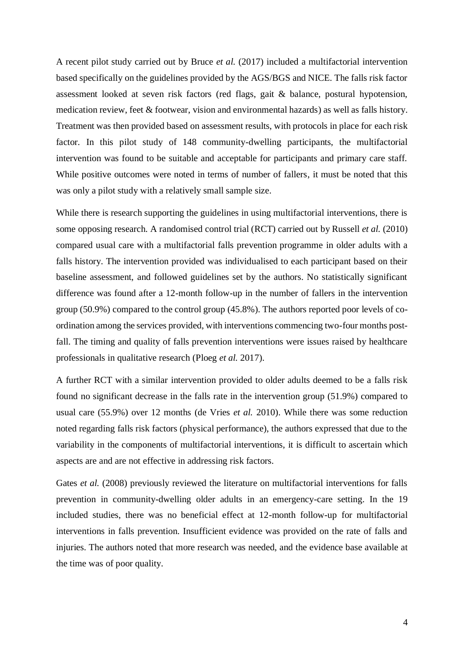A recent pilot study carried out by Bruce *et al.* (2017) included a multifactorial intervention based specifically on the guidelines provided by the AGS/BGS and NICE. The falls risk factor assessment looked at seven risk factors (red flags, gait & balance, postural hypotension, medication review, feet & footwear, vision and environmental hazards) as well as falls history. Treatment was then provided based on assessment results, with protocols in place for each risk factor. In this pilot study of 148 community-dwelling participants, the multifactorial intervention was found to be suitable and acceptable for participants and primary care staff. While positive outcomes were noted in terms of number of fallers, it must be noted that this was only a pilot study with a relatively small sample size.

While there is research supporting the guidelines in using multifactorial interventions, there is some opposing research. A randomised control trial (RCT) carried out by Russell *et al.* (2010) compared usual care with a multifactorial falls prevention programme in older adults with a falls history. The intervention provided was individualised to each participant based on their baseline assessment, and followed guidelines set by the authors. No statistically significant difference was found after a 12-month follow-up in the number of fallers in the intervention group (50.9%) compared to the control group (45.8%). The authors reported poor levels of coordination among the services provided, with interventions commencing two-four months postfall. The timing and quality of falls prevention interventions were issues raised by healthcare professionals in qualitative research (Ploeg *et al.* 2017).

A further RCT with a similar intervention provided to older adults deemed to be a falls risk found no significant decrease in the falls rate in the intervention group (51.9%) compared to usual care (55.9%) over 12 months (de Vries *et al.* 2010). While there was some reduction noted regarding falls risk factors (physical performance), the authors expressed that due to the variability in the components of multifactorial interventions, it is difficult to ascertain which aspects are and are not effective in addressing risk factors.

Gates *et al.* (2008) previously reviewed the literature on multifactorial interventions for falls prevention in community-dwelling older adults in an emergency-care setting. In the 19 included studies, there was no beneficial effect at 12-month follow-up for multifactorial interventions in falls prevention. Insufficient evidence was provided on the rate of falls and injuries. The authors noted that more research was needed, and the evidence base available at the time was of poor quality.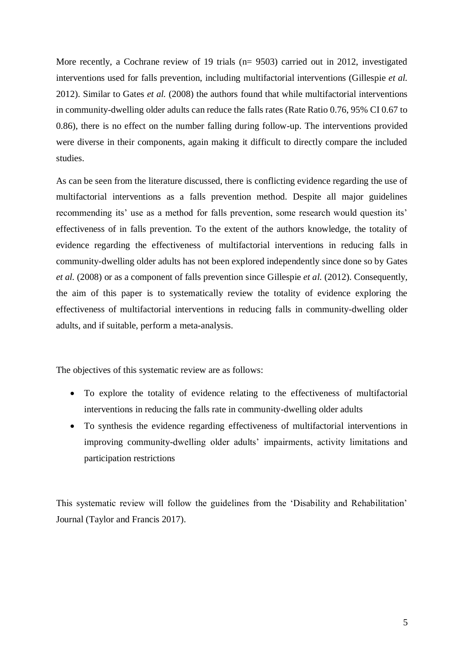More recently, a Cochrane review of 19 trials (n= 9503) carried out in 2012, investigated interventions used for falls prevention, including multifactorial interventions (Gillespie *et al.* 2012). Similar to Gates *et al.* (2008) the authors found that while multifactorial interventions in community-dwelling older adults can reduce the falls rates (Rate Ratio 0.76, 95% CI 0.67 to 0.86), there is no effect on the number falling during follow-up. The interventions provided were diverse in their components, again making it difficult to directly compare the included studies.

As can be seen from the literature discussed, there is conflicting evidence regarding the use of multifactorial interventions as a falls prevention method. Despite all major guidelines recommending its' use as a method for falls prevention, some research would question its' effectiveness of in falls prevention. To the extent of the authors knowledge, the totality of evidence regarding the effectiveness of multifactorial interventions in reducing falls in community-dwelling older adults has not been explored independently since done so by Gates *et al.* (2008) or as a component of falls prevention since Gillespie *et al.* (2012). Consequently, the aim of this paper is to systematically review the totality of evidence exploring the effectiveness of multifactorial interventions in reducing falls in community-dwelling older adults, and if suitable, perform a meta-analysis.

The objectives of this systematic review are as follows:

- To explore the totality of evidence relating to the effectiveness of multifactorial interventions in reducing the falls rate in community-dwelling older adults
- To synthesis the evidence regarding effectiveness of multifactorial interventions in improving community-dwelling older adults' impairments, activity limitations and participation restrictions

This systematic review will follow the guidelines from the 'Disability and Rehabilitation' Journal (Taylor and Francis 2017).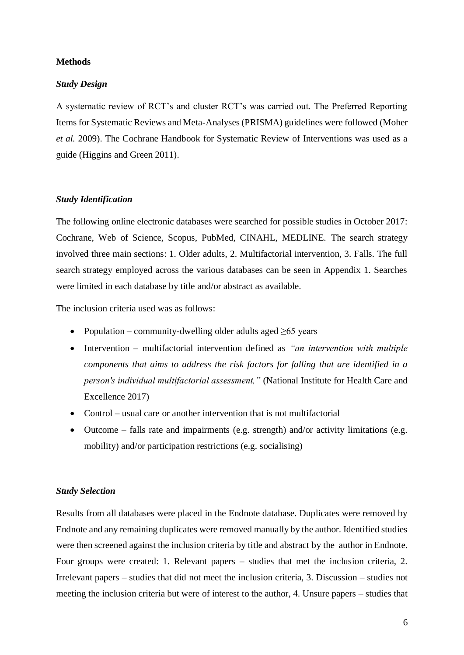#### **Methods**

#### *Study Design*

A systematic review of RCT's and cluster RCT's was carried out. The Preferred Reporting Items for Systematic Reviews and Meta-Analyses (PRISMA) guidelines were followed (Moher *et al.* 2009). The Cochrane Handbook for Systematic Review of Interventions was used as a guide (Higgins and Green 2011).

#### *Study Identification*

The following online electronic databases were searched for possible studies in October 2017: Cochrane, Web of Science, Scopus, PubMed, CINAHL, MEDLINE. The search strategy involved three main sections: 1. Older adults, 2. Multifactorial intervention, 3. Falls. The full search strategy employed across the various databases can be seen in Appendix 1. Searches were limited in each database by title and/or abstract as available.

The inclusion criteria used was as follows:

- Population community-dwelling older adults aged  $\geq 65$  years
- Intervention multifactorial intervention defined as *"an intervention with multiple components that aims to address the risk factors for falling that are identified in a person's individual multifactorial assessment,"* (National Institute for Health Care and Excellence 2017)
- Control usual care or another intervention that is not multifactorial
- Outcome falls rate and impairments (e.g. strength) and/or activity limitations (e.g. mobility) and/or participation restrictions (e.g. socialising)

#### *Study Selection*

Results from all databases were placed in the Endnote database. Duplicates were removed by Endnote and any remaining duplicates were removed manually by the author. Identified studies were then screened against the inclusion criteria by title and abstract by the author in Endnote. Four groups were created: 1. Relevant papers – studies that met the inclusion criteria, 2. Irrelevant papers – studies that did not meet the inclusion criteria, 3. Discussion – studies not meeting the inclusion criteria but were of interest to the author, 4. Unsure papers – studies that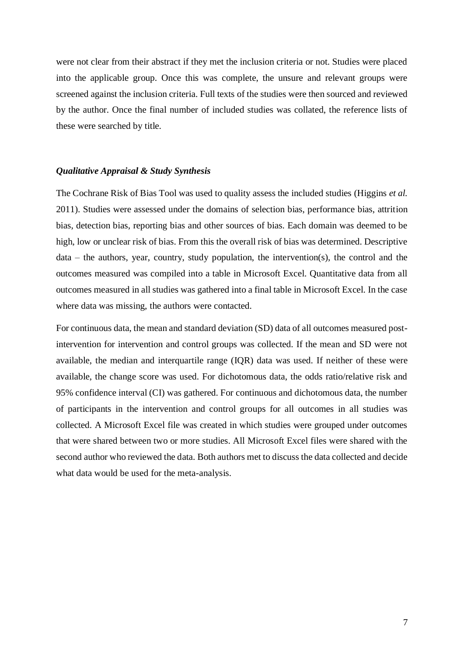were not clear from their abstract if they met the inclusion criteria or not. Studies were placed into the applicable group. Once this was complete, the unsure and relevant groups were screened against the inclusion criteria. Full texts of the studies were then sourced and reviewed by the author. Once the final number of included studies was collated, the reference lists of these were searched by title.

#### *Qualitative Appraisal & Study Synthesis*

The Cochrane Risk of Bias Tool was used to quality assess the included studies (Higgins *et al.* 2011). Studies were assessed under the domains of selection bias, performance bias, attrition bias, detection bias, reporting bias and other sources of bias. Each domain was deemed to be high, low or unclear risk of bias. From this the overall risk of bias was determined. Descriptive data – the authors, year, country, study population, the intervention(s), the control and the outcomes measured was compiled into a table in Microsoft Excel. Quantitative data from all outcomes measured in all studies was gathered into a final table in Microsoft Excel. In the case where data was missing, the authors were contacted.

For continuous data, the mean and standard deviation (SD) data of all outcomes measured postintervention for intervention and control groups was collected. If the mean and SD were not available, the median and interquartile range (IQR) data was used. If neither of these were available, the change score was used. For dichotomous data, the odds ratio/relative risk and 95% confidence interval (CI) was gathered. For continuous and dichotomous data, the number of participants in the intervention and control groups for all outcomes in all studies was collected. A Microsoft Excel file was created in which studies were grouped under outcomes that were shared between two or more studies. All Microsoft Excel files were shared with the second author who reviewed the data. Both authors met to discuss the data collected and decide what data would be used for the meta-analysis.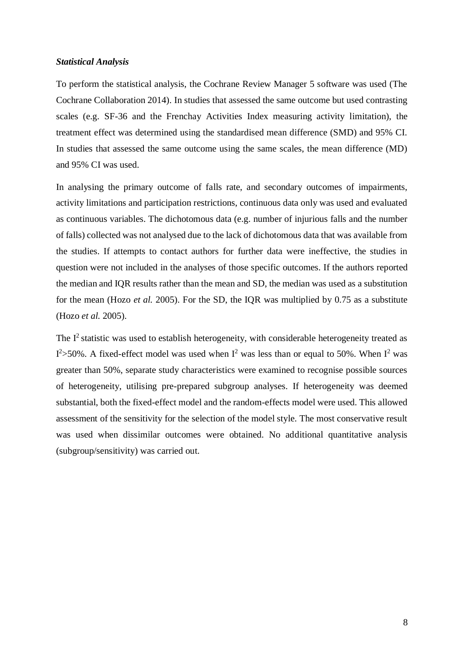#### *Statistical Analysis*

To perform the statistical analysis, the Cochrane Review Manager 5 software was used (The Cochrane Collaboration 2014). In studies that assessed the same outcome but used contrasting scales (e.g. SF-36 and the Frenchay Activities Index measuring activity limitation), the treatment effect was determined using the standardised mean difference (SMD) and 95% CI. In studies that assessed the same outcome using the same scales, the mean difference (MD) and 95% CI was used.

In analysing the primary outcome of falls rate, and secondary outcomes of impairments, activity limitations and participation restrictions, continuous data only was used and evaluated as continuous variables. The dichotomous data (e.g. number of injurious falls and the number of falls) collected was not analysed due to the lack of dichotomous data that was available from the studies. If attempts to contact authors for further data were ineffective, the studies in question were not included in the analyses of those specific outcomes. If the authors reported the median and IQR results rather than the mean and SD, the median was used as a substitution for the mean (Hozo *et al.* 2005). For the SD, the IQR was multiplied by 0.75 as a substitute (Hozo *et al.* 2005).

The  $I<sup>2</sup>$  statistic was used to establish heterogeneity, with considerable heterogeneity treated as  $I^2$ >50%. A fixed-effect model was used when  $I^2$  was less than or equal to 50%. When  $I^2$  was greater than 50%, separate study characteristics were examined to recognise possible sources of heterogeneity, utilising pre-prepared subgroup analyses. If heterogeneity was deemed substantial, both the fixed-effect model and the random-effects model were used. This allowed assessment of the sensitivity for the selection of the model style. The most conservative result was used when dissimilar outcomes were obtained. No additional quantitative analysis (subgroup/sensitivity) was carried out.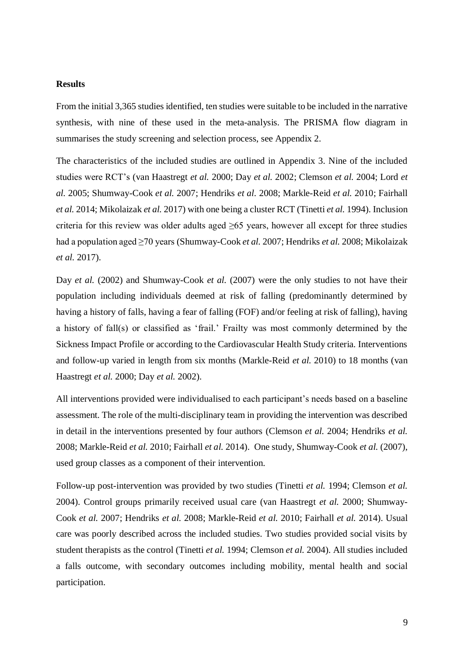#### **Results**

From the initial 3,365 studies identified, ten studies were suitable to be included in the narrative synthesis, with nine of these used in the meta-analysis. The PRISMA flow diagram in summarises the study screening and selection process, see Appendix 2.

The characteristics of the included studies are outlined in Appendix 3. Nine of the included studies were RCT's (van Haastregt *et al.* 2000; Day *et al.* 2002; Clemson *et al.* 2004; Lord *et al.* 2005; Shumway-Cook *et al.* 2007; Hendriks *et al.* 2008; Markle-Reid *et al.* 2010; Fairhall *et al.* 2014; Mikolaizak *et al.* 2017) with one being a cluster RCT (Tinetti *et al.* 1994). Inclusion criteria for this review was older adults aged  $\geq 65$  years, however all except for three studies had a population aged ≥70 years (Shumway-Cook *et al.* 2007; Hendriks *et al.* 2008; Mikolaizak *et al.* 2017).

Day *et al.* (2002) and Shumway-Cook *et al.* (2007) were the only studies to not have their population including individuals deemed at risk of falling (predominantly determined by having a history of falls, having a fear of falling (FOF) and/or feeling at risk of falling), having a history of fall(s) or classified as 'frail.' Frailty was most commonly determined by the Sickness Impact Profile or according to the Cardiovascular Health Study criteria. Interventions and follow-up varied in length from six months (Markle-Reid *et al.* 2010) to 18 months (van Haastregt *et al.* 2000; Day *et al.* 2002).

All interventions provided were individualised to each participant's needs based on a baseline assessment. The role of the multi-disciplinary team in providing the intervention was described in detail in the interventions presented by four authors (Clemson *et al.* 2004; Hendriks *et al.* 2008; Markle-Reid *et al.* 2010; Fairhall *et al.* 2014). One study, Shumway-Cook *et al.* (2007), used group classes as a component of their intervention.

Follow-up post-intervention was provided by two studies (Tinetti *et al.* 1994; Clemson *et al.* 2004). Control groups primarily received usual care (van Haastregt *et al.* 2000; Shumway-Cook *et al.* 2007; Hendriks *et al.* 2008; Markle-Reid *et al.* 2010; Fairhall *et al.* 2014). Usual care was poorly described across the included studies. Two studies provided social visits by student therapists as the control (Tinetti *et al.* 1994; Clemson *et al.* 2004). All studies included a falls outcome, with secondary outcomes including mobility, mental health and social participation.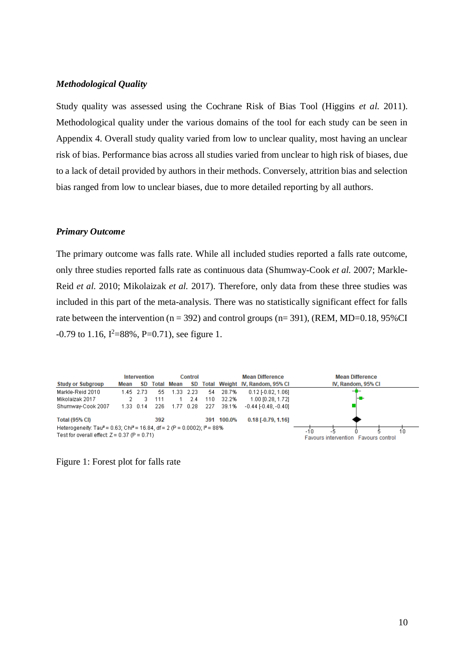#### *Methodological Quality*

Study quality was assessed using the Cochrane Risk of Bias Tool (Higgins *et al.* 2011). Methodological quality under the various domains of the tool for each study can be seen in Appendix 4. Overall study quality varied from low to unclear quality, most having an unclear risk of bias. Performance bias across all studies varied from unclear to high risk of biases, due to a lack of detail provided by authors in their methods. Conversely, attrition bias and selection bias ranged from low to unclear biases, due to more detailed reporting by all authors.

#### *Primary Outcome*

The primary outcome was falls rate. While all included studies reported a falls rate outcome, only three studies reported falls rate as continuous data (Shumway-Cook *et al.* 2007; Markle-Reid *et al.* 2010; Mikolaizak *et al.* 2017). Therefore, only data from these three studies was included in this part of the meta-analysis. There was no statistically significant effect for falls rate between the intervention ( $n = 392$ ) and control groups ( $n = 391$ ), (REM, MD=0.18, 95%CI  $-0.79$  to 1.16,  $I^2 = 88\%$ , P=0.71), see figure 1.

|                                                                                                                                                     |      | Intervention |     |            | <b>Control</b> |      |            | <b>Mean Difference</b>          |       | <b>Mean Difference</b>               |    |
|-----------------------------------------------------------------------------------------------------------------------------------------------------|------|--------------|-----|------------|----------------|------|------------|---------------------------------|-------|--------------------------------------|----|
| <b>Study or Subgroup</b>                                                                                                                            | Mean | SD.          |     | Total Mean | SD.            |      |            | Total Weight IV, Random, 95% CI |       | IV, Random, 95% CI                   |    |
| Markle-Reid 2010                                                                                                                                    |      | 1.45 2.73    | 55  | 1.33       | -2.23          | 54.  | 28.7%      | $0.12$ [ $-0.82$ , 1.06]        |       |                                      |    |
| Mikolaizak 2017                                                                                                                                     |      |              | 111 |            | 2.4            | 110. | 32.2%      | 1.00 [0.28, 1.72]               |       | ⊢∎-                                  |    |
| Shumway-Cook 2007                                                                                                                                   |      | 1.33 0.14    | 226 | 1.77       | 0.28           | 227  | 39.1%      | $-0.44$ $[-0.48, -0.40]$        |       |                                      |    |
| <b>Total (95% CI)</b>                                                                                                                               |      |              | 392 |            |                |      | 391 100.0% | $0.18$ [-0.79, 1.16]            |       |                                      |    |
| Heterogeneity: Tau <sup>2</sup> = 0.63; Chi <sup>2</sup> = 16.84, df = 2 (P = 0.0002): $P = 88\%$<br>Test for overall effect: $Z = 0.37$ (P = 0.71) |      |              |     |            |                |      |            |                                 | $-10$ | Favours intervention Favours control | 10 |

Figure 1: Forest plot for falls rate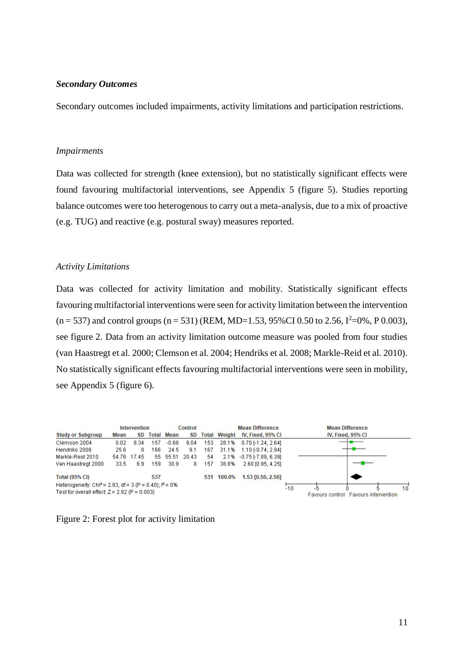#### *Secondary Outcomes*

Secondary outcomes included impairments, activity limitations and participation restrictions.

#### *Impairments*

Data was collected for strength (knee extension), but no statistically significant effects were found favouring multifactorial interventions, see Appendix 5 (figure 5). Studies reporting balance outcomes were too heterogenous to carry out a meta-analysis, due to a mix of proactive (e.g. TUG) and reactive (e.g. postural sway) measures reported.

#### *Activity Limitations*

Data was collected for activity limitation and mobility. Statistically significant effects favouring multifactorial interventions were seen for activity limitation between the intervention  $(n = 537)$  and control groups  $(n = 531)$  (REM, MD=1.53, 95%CI 0.50 to 2.56,  $I^2=0\%$ , P 0.003), see figure 2. Data from an activity limitation outcome measure was pooled from four studies (van Haastregt et al. 2000; Clemson et al. 2004; Hendriks et al. 2008; Markle-Reid et al. 2010). No statistically significant effects favouring multifactorial interventions were seen in mobility, see Appendix 5 (figure 6).



|  |  | Figure 2: Forest plot for activity limitation |
|--|--|-----------------------------------------------|
|  |  |                                               |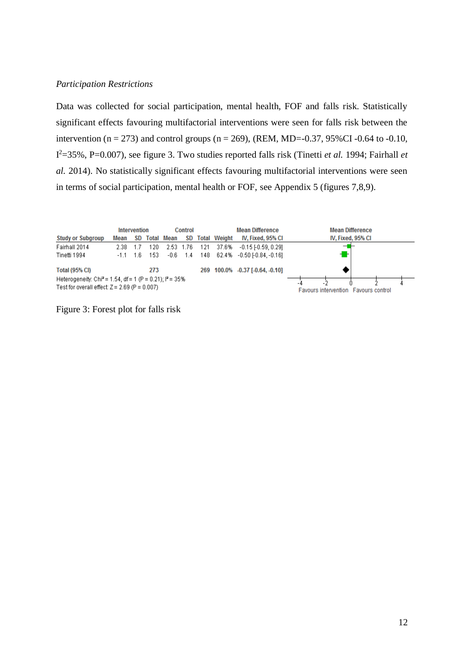#### *Participation Restrictions*

Data was collected for social participation, mental health, FOF and falls risk. Statistically significant effects favouring multifactorial interventions were seen for falls risk between the intervention (n = 273) and control groups (n = 269), (REM, MD=-0.37, 95%CI -0.64 to -0.10, I <sup>2</sup>=35%, P=0.007), see figure 3. Two studies reported falls risk (Tinetti *et al.* 1994; Fairhall *et al.* 2014). No statistically significant effects favouring multifactorial interventions were seen in terms of social participation, mental health or FOF, see Appendix 5 (figures 7,8,9).



Figure 3: Forest plot for falls risk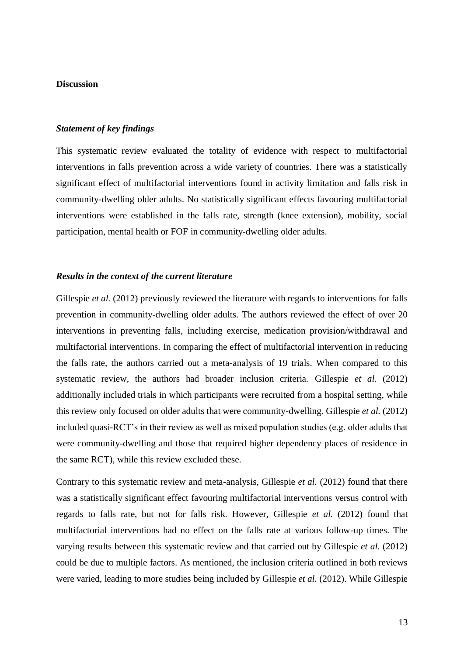#### **Discussion**

#### *Statement of key findings*

This systematic review evaluated the totality of evidence with respect to multifactorial interventions in falls prevention across a wide variety of countries. There was a statistically significant effect of multifactorial interventions found in activity limitation and falls risk in community-dwelling older adults. No statistically significant effects favouring multifactorial interventions were established in the falls rate, strength (knee extension), mobility, social participation, mental health or FOF in community-dwelling older adults.

#### *Results in the context of the current literature*

Gillespie *et al.* (2012) previously reviewed the literature with regards to interventions for falls prevention in community-dwelling older adults. The authors reviewed the effect of over 20 interventions in preventing falls, including exercise, medication provision/withdrawal and multifactorial interventions. In comparing the effect of multifactorial intervention in reducing the falls rate, the authors carried out a meta-analysis of 19 trials. When compared to this systematic review, the authors had broader inclusion criteria. Gillespie *et al.* (2012) additionally included trials in which participants were recruited from a hospital setting, while this review only focused on older adults that were community-dwelling. Gillespie *et al.* (2012) included quasi-RCT's in their review as well as mixed population studies (e.g. older adults that were community-dwelling and those that required higher dependency places of residence in the same RCT), while this review excluded these.

Contrary to this systematic review and meta-analysis, Gillespie *et al.* (2012) found that there was a statistically significant effect favouring multifactorial interventions versus control with regards to falls rate, but not for falls risk. However, Gillespie *et al.* (2012) found that multifactorial interventions had no effect on the falls rate at various follow-up times. The varying results between this systematic review and that carried out by Gillespie *et al.* (2012) could be due to multiple factors. As mentioned, the inclusion criteria outlined in both reviews were varied, leading to more studies being included by Gillespie *et al.* (2012). While Gillespie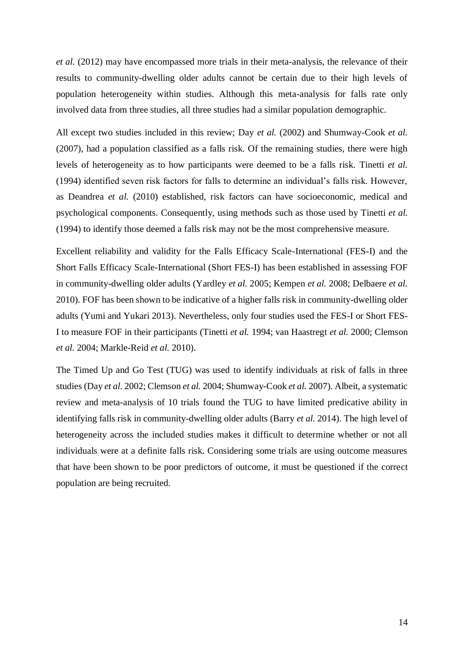*et al.* (2012) may have encompassed more trials in their meta-analysis, the relevance of their results to community-dwelling older adults cannot be certain due to their high levels of population heterogeneity within studies. Although this meta-analysis for falls rate only involved data from three studies, all three studies had a similar population demographic.

All except two studies included in this review; Day *et al.* (2002) and Shumway-Cook *et al.* (2007), had a population classified as a falls risk. Of the remaining studies, there were high levels of heterogeneity as to how participants were deemed to be a falls risk. Tinetti *et al.* (1994) identified seven risk factors for falls to determine an individual's falls risk. However, as Deandrea *et al.* (2010) established, risk factors can have socioeconomic, medical and psychological components. Consequently, using methods such as those used by Tinetti *et al.* (1994) to identify those deemed a falls risk may not be the most comprehensive measure.

Excellent reliability and validity for the Falls Efficacy Scale-International (FES-I) and the Short Falls Efficacy Scale-International (Short FES-I) has been established in assessing FOF in community-dwelling older adults (Yardley *et al.* 2005; Kempen *et al.* 2008; Delbaere *et al.* 2010). FOF has been shown to be indicative of a higher falls risk in community-dwelling older adults (Yumi and Yukari 2013). Nevertheless, only four studies used the FES-I or Short FES-I to measure FOF in their participants (Tinetti *et al.* 1994; van Haastregt *et al.* 2000; Clemson *et al.* 2004; Markle-Reid *et al.* 2010).

The Timed Up and Go Test (TUG) was used to identify individuals at risk of falls in three studies (Day *et al.* 2002; Clemson *et al.* 2004; Shumway-Cook *et al.* 2007). Albeit, a systematic review and meta-analysis of 10 trials found the TUG to have limited predicative ability in identifying falls risk in community-dwelling older adults (Barry *et al.* 2014). The high level of heterogeneity across the included studies makes it difficult to determine whether or not all individuals were at a definite falls risk. Considering some trials are using outcome measures that have been shown to be poor predictors of outcome, it must be questioned if the correct population are being recruited.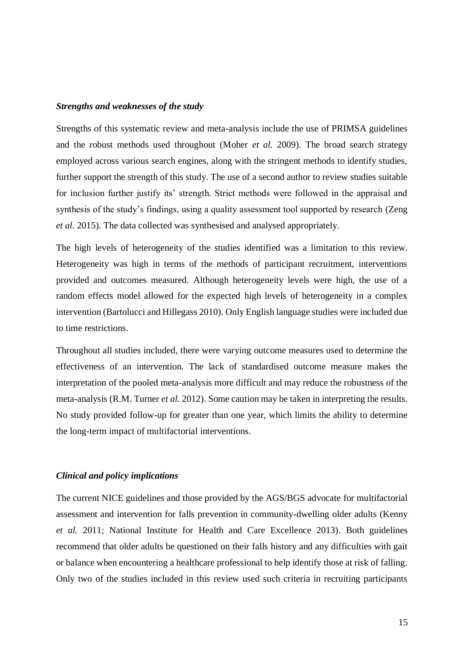#### *Strengths and weaknesses of the study*

Strengths of this systematic review and meta-analysis include the use of PRIMSA guidelines and the robust methods used throughout (Moher *et al.* 2009). The broad search strategy employed across various search engines, along with the stringent methods to identify studies, further support the strength of this study. The use of a second author to review studies suitable for inclusion further justify its' strength. Strict methods were followed in the appraisal and synthesis of the study's findings, using a quality assessment tool supported by research (Zeng *et al.* 2015). The data collected was synthesised and analysed appropriately.

The high levels of heterogeneity of the studies identified was a limitation to this review. Heterogeneity was high in terms of the methods of participant recruitment, interventions provided and outcomes measured. Although heterogeneity levels were high, the use of a random effects model allowed for the expected high levels of heterogeneity in a complex intervention (Bartolucci and Hillegass 2010). Only English language studies were included due to time restrictions.

Throughout all studies included, there were varying outcome measures used to determine the effectiveness of an intervention. The lack of standardised outcome measure makes the interpretation of the pooled meta-analysis more difficult and may reduce the robustness of the meta-analysis (R.M. Turner *et al.* 2012). Some caution may be taken in interpreting the results. No study provided follow-up for greater than one year, which limits the ability to determine the long-term impact of multifactorial interventions.

#### *Clinical and policy implications*

The current NICE guidelines and those provided by the AGS/BGS advocate for multifactorial assessment and intervention for falls prevention in community-dwelling older adults (Kenny *et al.* 2011; National Institute for Health and Care Excellence 2013). Both guidelines recommend that older adults be questioned on their falls history and any difficulties with gait or balance when encountering a healthcare professional to help identify those at risk of falling. Only two of the studies included in this review used such criteria in recruiting participants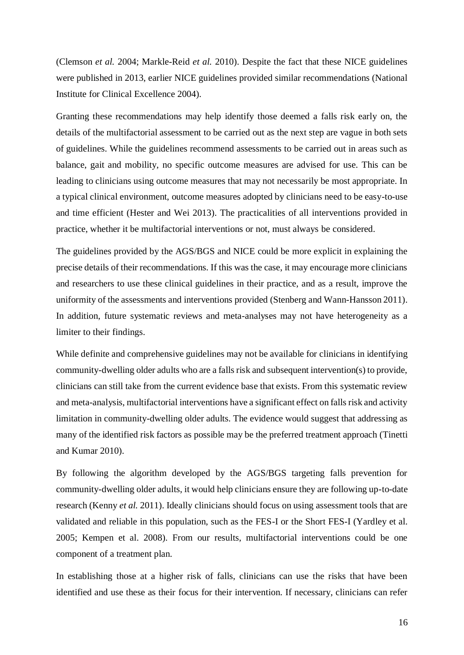(Clemson *et al.* 2004; Markle-Reid *et al.* 2010). Despite the fact that these NICE guidelines were published in 2013, earlier NICE guidelines provided similar recommendations (National Institute for Clinical Excellence 2004).

Granting these recommendations may help identify those deemed a falls risk early on, the details of the multifactorial assessment to be carried out as the next step are vague in both sets of guidelines. While the guidelines recommend assessments to be carried out in areas such as balance, gait and mobility, no specific outcome measures are advised for use. This can be leading to clinicians using outcome measures that may not necessarily be most appropriate. In a typical clinical environment, outcome measures adopted by clinicians need to be easy-to-use and time efficient (Hester and Wei 2013). The practicalities of all interventions provided in practice, whether it be multifactorial interventions or not, must always be considered.

The guidelines provided by the AGS/BGS and NICE could be more explicit in explaining the precise details of their recommendations. If this was the case, it may encourage more clinicians and researchers to use these clinical guidelines in their practice, and as a result, improve the uniformity of the assessments and interventions provided (Stenberg and Wann-Hansson 2011). In addition, future systematic reviews and meta-analyses may not have heterogeneity as a limiter to their findings.

While definite and comprehensive guidelines may not be available for clinicians in identifying community-dwelling older adults who are a falls risk and subsequent intervention(s) to provide, clinicians can still take from the current evidence base that exists. From this systematic review and meta-analysis, multifactorial interventions have a significant effect on falls risk and activity limitation in community-dwelling older adults. The evidence would suggest that addressing as many of the identified risk factors as possible may be the preferred treatment approach (Tinetti and Kumar 2010).

By following the algorithm developed by the AGS/BGS targeting falls prevention for community-dwelling older adults, it would help clinicians ensure they are following up-to-date research (Kenny *et al.* 2011). Ideally clinicians should focus on using assessment tools that are validated and reliable in this population, such as the FES-I or the Short FES-I (Yardley et al. 2005; Kempen et al. 2008). From our results, multifactorial interventions could be one component of a treatment plan.

In establishing those at a higher risk of falls, clinicians can use the risks that have been identified and use these as their focus for their intervention. If necessary, clinicians can refer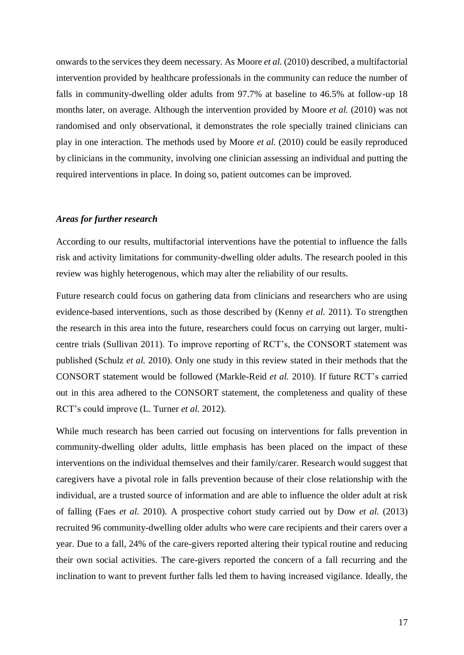onwards to the services they deem necessary. As Moore *et al.* (2010) described, a multifactorial intervention provided by healthcare professionals in the community can reduce the number of falls in community-dwelling older adults from 97.7% at baseline to 46.5% at follow-up 18 months later, on average. Although the intervention provided by Moore *et al.* (2010) was not randomised and only observational, it demonstrates the role specially trained clinicians can play in one interaction. The methods used by Moore *et al.* (2010) could be easily reproduced by clinicians in the community, involving one clinician assessing an individual and putting the required interventions in place. In doing so, patient outcomes can be improved.

#### *Areas for further research*

According to our results, multifactorial interventions have the potential to influence the falls risk and activity limitations for community-dwelling older adults. The research pooled in this review was highly heterogenous, which may alter the reliability of our results.

Future research could focus on gathering data from clinicians and researchers who are using evidence-based interventions, such as those described by (Kenny *et al.* 2011). To strengthen the research in this area into the future, researchers could focus on carrying out larger, multicentre trials (Sullivan 2011). To improve reporting of RCT's, the CONSORT statement was published (Schulz *et al.* 2010). Only one study in this review stated in their methods that the CONSORT statement would be followed (Markle-Reid *et al.* 2010). If future RCT's carried out in this area adhered to the CONSORT statement, the completeness and quality of these RCT's could improve (L. Turner *et al.* 2012).

While much research has been carried out focusing on interventions for falls prevention in community-dwelling older adults, little emphasis has been placed on the impact of these interventions on the individual themselves and their family/carer. Research would suggest that caregivers have a pivotal role in falls prevention because of their close relationship with the individual, are a trusted source of information and are able to influence the older adult at risk of falling (Faes *et al.* 2010). A prospective cohort study carried out by Dow *et al.* (2013) recruited 96 community-dwelling older adults who were care recipients and their carers over a year. Due to a fall, 24% of the care-givers reported altering their typical routine and reducing their own social activities. The care-givers reported the concern of a fall recurring and the inclination to want to prevent further falls led them to having increased vigilance. Ideally, the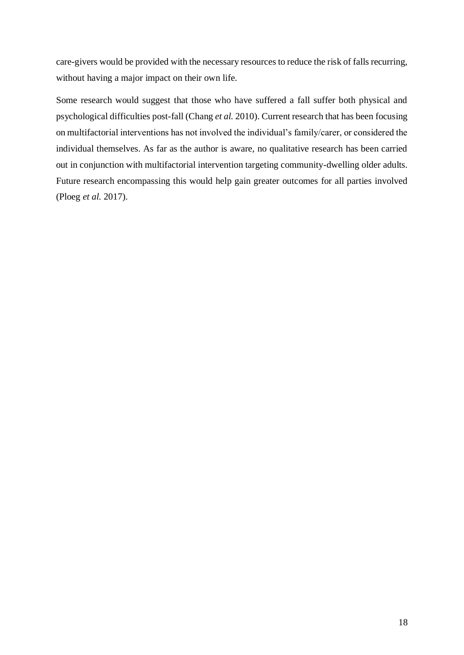care-givers would be provided with the necessary resources to reduce the risk of falls recurring, without having a major impact on their own life.

Some research would suggest that those who have suffered a fall suffer both physical and psychological difficulties post-fall (Chang *et al.* 2010). Current research that has been focusing on multifactorial interventions has not involved the individual's family/carer, or considered the individual themselves. As far as the author is aware, no qualitative research has been carried out in conjunction with multifactorial intervention targeting community-dwelling older adults. Future research encompassing this would help gain greater outcomes for all parties involved (Ploeg *et al.* 2017).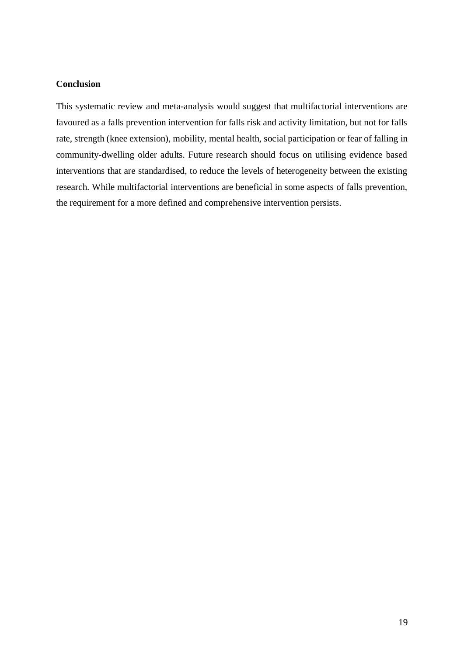#### **Conclusion**

This systematic review and meta-analysis would suggest that multifactorial interventions are favoured as a falls prevention intervention for falls risk and activity limitation, but not for falls rate, strength (knee extension), mobility, mental health, social participation or fear of falling in community-dwelling older adults. Future research should focus on utilising evidence based interventions that are standardised, to reduce the levels of heterogeneity between the existing research. While multifactorial interventions are beneficial in some aspects of falls prevention, the requirement for a more defined and comprehensive intervention persists.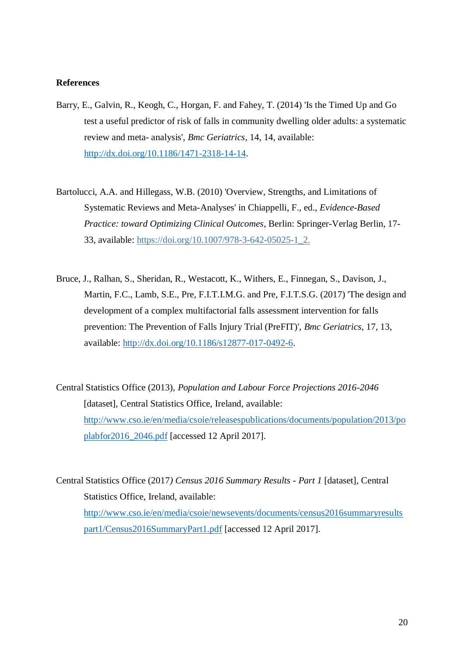#### **References**

- Barry, E., Galvin, R., Keogh, C., Horgan, F. and Fahey, T. (2014) 'Is the Timed Up and Go test a useful predictor of risk of falls in community dwelling older adults: a systematic review and meta- analysis', *Bmc Geriatrics*, 14, 14, available: [http://dx.doi.org/10.1186/1471-2318-14-14.](http://dx.doi.org/10.1186/1471-2318-14-14)
- Bartolucci, A.A. and Hillegass, W.B. (2010) 'Overview, Strengths, and Limitations of Systematic Reviews and Meta-Analyses' in Chiappelli, F., ed., *Evidence-Based Practice: toward Optimizing Clinical Outcomes*, Berlin: Springer-Verlag Berlin, 17- 33, available: https://doi.org/10.1007/978-3-642-05025-1\_2.
- Bruce, J., Ralhan, S., Sheridan, R., Westacott, K., Withers, E., Finnegan, S., Davison, J., Martin, F.C., Lamb, S.E., Pre, F.I.T.I.M.G. and Pre, F.I.T.S.G. (2017) 'The design and development of a complex multifactorial falls assessment intervention for falls prevention: The Prevention of Falls Injury Trial (PreFIT)', *Bmc Geriatrics*, 17, 13, available: [http://dx.doi.org/10.1186/s12877-017-0492-6.](http://dx.doi.org/10.1186/s12877-017-0492-6)

Central Statistics Office (2013), *Population and Labour Force Projections 2016-2046*  [dataset], Central Statistics Office, Ireland, available: [http://www.cso.ie/en/media/csoie/releasespublications/documents/population/2013/po](http://www.cso.ie/en/media/csoie/releasespublications/documents/population/2013/poplabfor2016_2046.pdf) [plabfor2016\\_2046.pdf](http://www.cso.ie/en/media/csoie/releasespublications/documents/population/2013/poplabfor2016_2046.pdf) [accessed 12 April 2017].

Central Statistics Office (2017*) Census 2016 Summary Results - Part 1* [dataset]*,* Central Statistics Office, Ireland, available: [http://www.cso.ie/en/media/csoie/newsevents/documents/census2016summaryresults](http://www.cso.ie/en/media/csoie/newsevents/documents/census2016summaryresultspart1/Census2016SummaryPart1.pdf) [part1/Census2016SummaryPart1.pdf](http://www.cso.ie/en/media/csoie/newsevents/documents/census2016summaryresultspart1/Census2016SummaryPart1.pdf) [accessed 12 April 2017].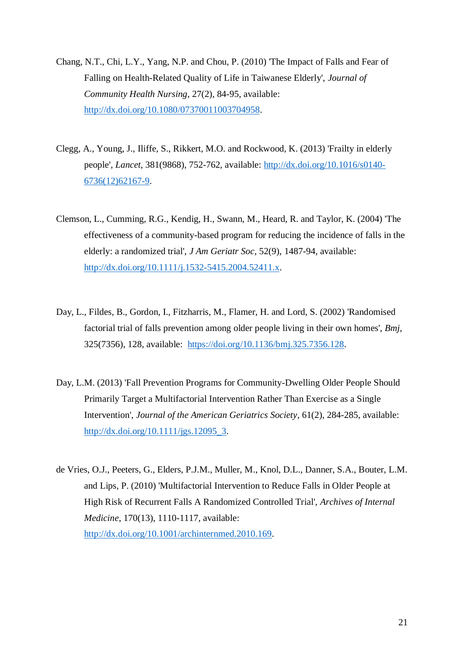- Chang, N.T., Chi, L.Y., Yang, N.P. and Chou, P. (2010) 'The Impact of Falls and Fear of Falling on Health-Related Quality of Life in Taiwanese Elderly', *Journal of Community Health Nursing*, 27(2), 84-95, available: [http://dx.doi.org/10.1080/07370011003704958.](http://dx.doi.org/10.1080/07370011003704958)
- Clegg, A., Young, J., Iliffe, S., Rikkert, M.O. and Rockwood, K. (2013) 'Frailty in elderly people', *Lancet*, 381(9868), 752-762, available: [http://dx.doi.org/10.1016/s0140-](http://dx.doi.org/10.1016/s0140-6736(12)62167-9) [6736\(12\)62167-9.](http://dx.doi.org/10.1016/s0140-6736(12)62167-9)
- Clemson, L., Cumming, R.G., Kendig, H., Swann, M., Heard, R. and Taylor, K. (2004) 'The effectiveness of a community-based program for reducing the incidence of falls in the elderly: a randomized trial', *J Am Geriatr Soc*, 52(9), 1487-94, available: [http://dx.doi.org/10.1111/j.1532-5415.2004.52411.x.](http://dx.doi.org/10.1111/j.1532-5415.2004.52411.x)
- Day, L., Fildes, B., Gordon, I., Fitzharris, M., Flamer, H. and Lord, S. (2002) 'Randomised factorial trial of falls prevention among older people living in their own homes', *Bmj*, 325(7356), 128, available: [https://doi.org/10.1136/bmj.325.7356.128.](https://doi.org/10.1136/bmj.325.7356.128)
- Day, L.M. (2013) 'Fall Prevention Programs for Community-Dwelling Older People Should Primarily Target a Multifactorial Intervention Rather Than Exercise as a Single Intervention', *Journal of the American Geriatrics Society*, 61(2), 284-285, available: [http://dx.doi.org/10.1111/jgs.12095\\_3.](http://dx.doi.org/10.1111/jgs.12095_3)
- de Vries, O.J., Peeters, G., Elders, P.J.M., Muller, M., Knol, D.L., Danner, S.A., Bouter, L.M. and Lips, P. (2010) 'Multifactorial Intervention to Reduce Falls in Older People at High Risk of Recurrent Falls A Randomized Controlled Trial', *Archives of Internal Medicine*, 170(13), 1110-1117, available: [http://dx.doi.org/10.1001/archinternmed.2010.169.](http://dx.doi.org/10.1001/archinternmed.2010.169)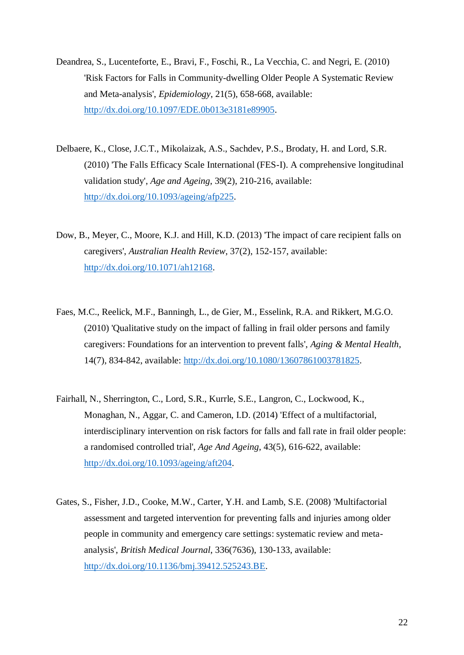- Deandrea, S., Lucenteforte, E., Bravi, F., Foschi, R., La Vecchia, C. and Negri, E. (2010) 'Risk Factors for Falls in Community-dwelling Older People A Systematic Review and Meta-analysis', *Epidemiology*, 21(5), 658-668, available: [http://dx.doi.org/10.1097/EDE.0b013e3181e89905.](http://dx.doi.org/10.1097/EDE.0b013e3181e89905)
- Delbaere, K., Close, J.C.T., Mikolaizak, A.S., Sachdev, P.S., Brodaty, H. and Lord, S.R. (2010) 'The Falls Efficacy Scale International (FES-I). A comprehensive longitudinal validation study', *Age and Ageing*, 39(2), 210-216, available: [http://dx.doi.org/10.1093/ageing/afp225.](http://dx.doi.org/10.1093/ageing/afp225)
- Dow, B., Meyer, C., Moore, K.J. and Hill, K.D. (2013) 'The impact of care recipient falls on caregivers', *Australian Health Review*, 37(2), 152-157, available: [http://dx.doi.org/10.1071/ah12168.](http://dx.doi.org/10.1071/ah12168)
- Faes, M.C., Reelick, M.F., Banningh, L., de Gier, M., Esselink, R.A. and Rikkert, M.G.O. (2010) 'Qualitative study on the impact of falling in frail older persons and family caregivers: Foundations for an intervention to prevent falls', *Aging & Mental Health*, 14(7), 834-842, available: [http://dx.doi.org/10.1080/13607861003781825.](http://dx.doi.org/10.1080/13607861003781825)
- Fairhall, N., Sherrington, C., Lord, S.R., Kurrle, S.E., Langron, C., Lockwood, K., Monaghan, N., Aggar, C. and Cameron, I.D. (2014) 'Effect of a multifactorial, interdisciplinary intervention on risk factors for falls and fall rate in frail older people: a randomised controlled trial', *Age And Ageing*, 43(5), 616-622, available: [http://dx.doi.org/10.1093/ageing/aft204.](http://dx.doi.org/10.1093/ageing/aft204)
- Gates, S., Fisher, J.D., Cooke, M.W., Carter, Y.H. and Lamb, S.E. (2008) 'Multifactorial assessment and targeted intervention for preventing falls and injuries among older people in community and emergency care settings: systematic review and metaanalysis', *British Medical Journal*, 336(7636), 130-133, available: [http://dx.doi.org/10.1136/bmj.39412.525243.BE.](http://dx.doi.org/10.1136/bmj.39412.525243.BE)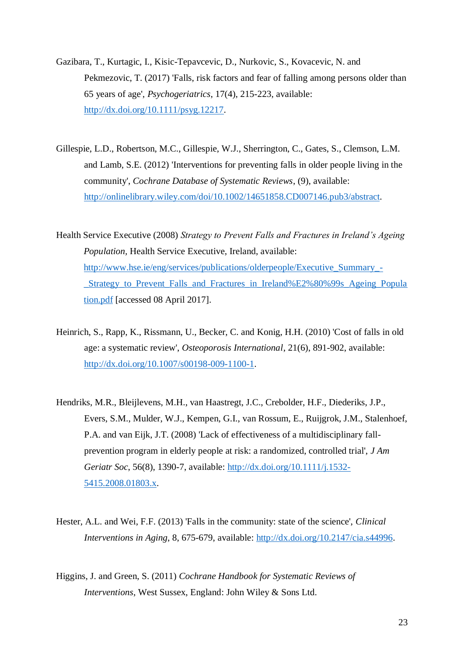- Gazibara, T., Kurtagic, I., Kisic-Tepavcevic, D., Nurkovic, S., Kovacevic, N. and Pekmezovic, T. (2017) 'Falls, risk factors and fear of falling among persons older than 65 years of age', *Psychogeriatrics*, 17(4), 215-223, available: [http://dx.doi.org/10.1111/psyg.12217.](http://dx.doi.org/10.1111/psyg.12217)
- Gillespie, L.D., Robertson, M.C., Gillespie, W.J., Sherrington, C., Gates, S., Clemson, L.M. and Lamb, S.E. (2012) 'Interventions for preventing falls in older people living in the community', *Cochrane Database of Systematic Reviews*, (9), available: [http://onlinelibrary.wiley.com/doi/10.1002/14651858.CD007146.pub3/abstract.](http://onlinelibrary.wiley.com/doi/10.1002/14651858.CD007146.pub3/abstract)

Health Service Executive (2008) *Strategy to Prevent Falls and Fractures in Ireland's Ageing Population,* Health Service Executive, Ireland, available: [http://www.hse.ie/eng/services/publications/olderpeople/Executive\\_Summary\\_-](http://www.hse.ie/eng/services/publications/olderpeople/Executive_Summary_-_Strategy_to_Prevent_Falls_and_Fractures_in_Ireland%E2%80%99s_Ageing_Population.pdf) [\\_Strategy\\_to\\_Prevent\\_Falls\\_and\\_Fractures\\_in\\_Ireland%E2%80%99s\\_Ageing\\_Popula](http://www.hse.ie/eng/services/publications/olderpeople/Executive_Summary_-_Strategy_to_Prevent_Falls_and_Fractures_in_Ireland%E2%80%99s_Ageing_Population.pdf) [tion.pdf](http://www.hse.ie/eng/services/publications/olderpeople/Executive_Summary_-_Strategy_to_Prevent_Falls_and_Fractures_in_Ireland%E2%80%99s_Ageing_Population.pdf) [accessed 08 April 2017].

- Heinrich, S., Rapp, K., Rissmann, U., Becker, C. and Konig, H.H. (2010) 'Cost of falls in old age: a systematic review', *Osteoporosis International*, 21(6), 891-902, available: [http://dx.doi.org/10.1007/s00198-009-1100-1.](http://dx.doi.org/10.1007/s00198-009-1100-1)
- Hendriks, M.R., Bleijlevens, M.H., van Haastregt, J.C., Crebolder, H.F., Diederiks, J.P., Evers, S.M., Mulder, W.J., Kempen, G.I., van Rossum, E., Ruijgrok, J.M., Stalenhoef, P.A. and van Eijk, J.T. (2008) 'Lack of effectiveness of a multidisciplinary fallprevention program in elderly people at risk: a randomized, controlled trial', *J Am Geriatr Soc*, 56(8), 1390-7, available: [http://dx.doi.org/10.1111/j.1532-](http://dx.doi.org/10.1111/j.1532-5415.2008.01803.x) [5415.2008.01803.x.](http://dx.doi.org/10.1111/j.1532-5415.2008.01803.x)
- Hester, A.L. and Wei, F.F. (2013) 'Falls in the community: state of the science', *Clinical Interventions in Aging*, 8, 675-679, available: [http://dx.doi.org/10.2147/cia.s44996.](http://dx.doi.org/10.2147/cia.s44996)
- Higgins, J. and Green, S. (2011) *Cochrane Handbook for Systematic Reviews of Interventions*, West Sussex, England: John Wiley & Sons Ltd.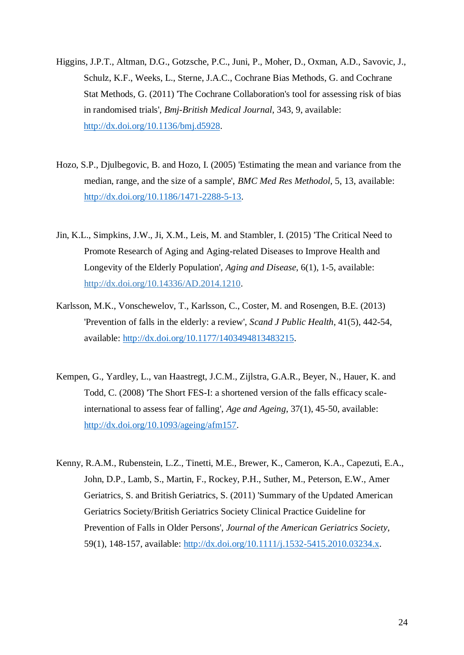- Higgins, J.P.T., Altman, D.G., Gotzsche, P.C., Juni, P., Moher, D., Oxman, A.D., Savovic, J., Schulz, K.F., Weeks, L., Sterne, J.A.C., Cochrane Bias Methods, G. and Cochrane Stat Methods, G. (2011) 'The Cochrane Collaboration's tool for assessing risk of bias in randomised trials', *Bmj-British Medical Journal*, 343, 9, available: [http://dx.doi.org/10.1136/bmj.d5928.](http://dx.doi.org/10.1136/bmj.d5928)
- Hozo, S.P., Djulbegovic, B. and Hozo, I. (2005) 'Estimating the mean and variance from the median, range, and the size of a sample', *BMC Med Res Methodol*, 5, 13, available: [http://dx.doi.org/10.1186/1471-2288-5-13.](http://dx.doi.org/10.1186/1471-2288-5-13)
- Jin, K.L., Simpkins, J.W., Ji, X.M., Leis, M. and Stambler, I. (2015) 'The Critical Need to Promote Research of Aging and Aging-related Diseases to Improve Health and Longevity of the Elderly Population', *Aging and Disease*, 6(1), 1-5, available: http://dx.doi.org/10.14336/AD.2014.1210.
- Karlsson, M.K., Vonschewelov, T., Karlsson, C., Coster, M. and Rosengen, B.E. (2013) 'Prevention of falls in the elderly: a review', *Scand J Public Health*, 41(5), 442-54, available: [http://dx.doi.org/10.1177/1403494813483215.](http://dx.doi.org/10.1177/1403494813483215)
- Kempen, G., Yardley, L., van Haastregt, J.C.M., Zijlstra, G.A.R., Beyer, N., Hauer, K. and Todd, C. (2008) 'The Short FES-I: a shortened version of the falls efficacy scaleinternational to assess fear of falling', *Age and Ageing*, 37(1), 45-50, available: [http://dx.doi.org/10.1093/ageing/afm157.](http://dx.doi.org/10.1093/ageing/afm157)
- Kenny, R.A.M., Rubenstein, L.Z., Tinetti, M.E., Brewer, K., Cameron, K.A., Capezuti, E.A., John, D.P., Lamb, S., Martin, F., Rockey, P.H., Suther, M., Peterson, E.W., Amer Geriatrics, S. and British Geriatrics, S. (2011) 'Summary of the Updated American Geriatrics Society/British Geriatrics Society Clinical Practice Guideline for Prevention of Falls in Older Persons', *Journal of the American Geriatrics Society*, 59(1), 148-157, available: [http://dx.doi.org/10.1111/j.1532-5415.2010.03234.x.](http://dx.doi.org/10.1111/j.1532-5415.2010.03234.x)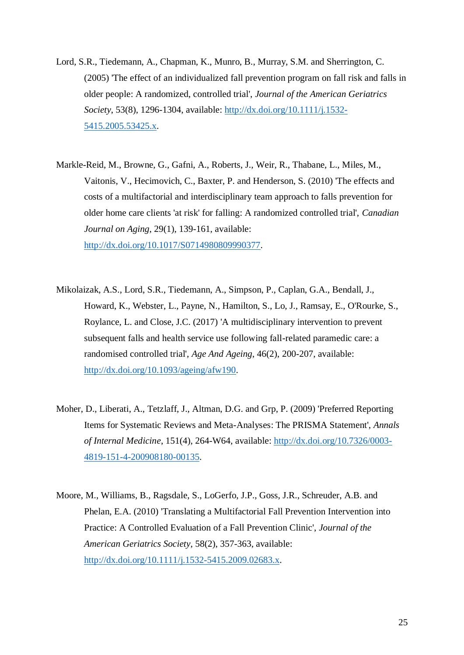- Lord, S.R., Tiedemann, A., Chapman, K., Munro, B., Murray, S.M. and Sherrington, C. (2005) 'The effect of an individualized fall prevention program on fall risk and falls in older people: A randomized, controlled trial', *Journal of the American Geriatrics Society*, 53(8), 1296-1304, available: [http://dx.doi.org/10.1111/j.1532-](http://dx.doi.org/10.1111/j.1532-5415.2005.53425.x) [5415.2005.53425.x.](http://dx.doi.org/10.1111/j.1532-5415.2005.53425.x)
- Markle-Reid, M., Browne, G., Gafni, A., Roberts, J., Weir, R., Thabane, L., Miles, M., Vaitonis, V., Hecimovich, C., Baxter, P. and Henderson, S. (2010) 'The effects and costs of a multifactorial and interdisciplinary team approach to falls prevention for older home care clients 'at risk' for falling: A randomized controlled trial', *Canadian Journal on Aging*, 29(1), 139-161, available: [http://dx.doi.org/10.1017/S0714980809990377.](http://dx.doi.org/10.1017/S0714980809990377)
- Mikolaizak, A.S., Lord, S.R., Tiedemann, A., Simpson, P., Caplan, G.A., Bendall, J., Howard, K., Webster, L., Payne, N., Hamilton, S., Lo, J., Ramsay, E., O'Rourke, S., Roylance, L. and Close, J.C. (2017) 'A multidisciplinary intervention to prevent subsequent falls and health service use following fall-related paramedic care: a randomised controlled trial', *Age And Ageing*, 46(2), 200-207, available: [http://dx.doi.org/10.1093/ageing/afw190.](http://dx.doi.org/10.1093/ageing/afw190)
- Moher, D., Liberati, A., Tetzlaff, J., Altman, D.G. and Grp, P. (2009) 'Preferred Reporting Items for Systematic Reviews and Meta-Analyses: The PRISMA Statement', *Annals of Internal Medicine*, 151(4), 264-W64, available: [http://dx.doi.org/10.7326/0003-](http://dx.doi.org/10.7326/0003-4819-151-4-200908180-00135) [4819-151-4-200908180-00135.](http://dx.doi.org/10.7326/0003-4819-151-4-200908180-00135)
- Moore, M., Williams, B., Ragsdale, S., LoGerfo, J.P., Goss, J.R., Schreuder, A.B. and Phelan, E.A. (2010) 'Translating a Multifactorial Fall Prevention Intervention into Practice: A Controlled Evaluation of a Fall Prevention Clinic', *Journal of the American Geriatrics Society*, 58(2), 357-363, available: [http://dx.doi.org/10.1111/j.1532-5415.2009.02683.x.](http://dx.doi.org/10.1111/j.1532-5415.2009.02683.x)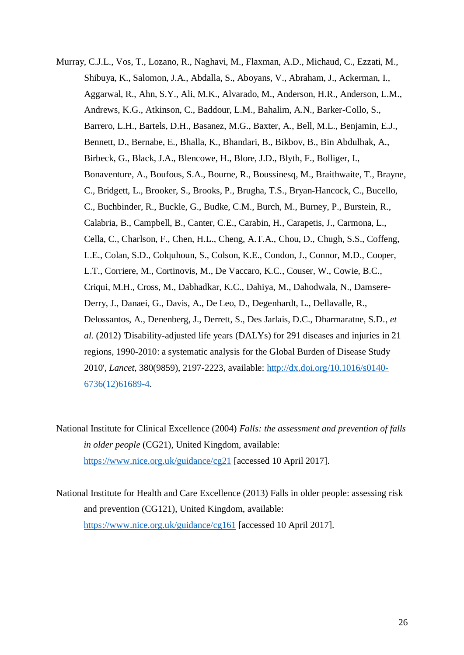Murray, C.J.L., Vos, T., Lozano, R., Naghavi, M., Flaxman, A.D., Michaud, C., Ezzati, M., Shibuya, K., Salomon, J.A., Abdalla, S., Aboyans, V., Abraham, J., Ackerman, I., Aggarwal, R., Ahn, S.Y., Ali, M.K., Alvarado, M., Anderson, H.R., Anderson, L.M., Andrews, K.G., Atkinson, C., Baddour, L.M., Bahalim, A.N., Barker-Collo, S., Barrero, L.H., Bartels, D.H., Basanez, M.G., Baxter, A., Bell, M.L., Benjamin, E.J., Bennett, D., Bernabe, E., Bhalla, K., Bhandari, B., Bikbov, B., Bin Abdulhak, A., Birbeck, G., Black, J.A., Blencowe, H., Blore, J.D., Blyth, F., Bolliger, I., Bonaventure, A., Boufous, S.A., Bourne, R., Boussinesq, M., Braithwaite, T., Brayne, C., Bridgett, L., Brooker, S., Brooks, P., Brugha, T.S., Bryan-Hancock, C., Bucello, C., Buchbinder, R., Buckle, G., Budke, C.M., Burch, M., Burney, P., Burstein, R., Calabria, B., Campbell, B., Canter, C.E., Carabin, H., Carapetis, J., Carmona, L., Cella, C., Charlson, F., Chen, H.L., Cheng, A.T.A., Chou, D., Chugh, S.S., Coffeng, L.E., Colan, S.D., Colquhoun, S., Colson, K.E., Condon, J., Connor, M.D., Cooper, L.T., Corriere, M., Cortinovis, M., De Vaccaro, K.C., Couser, W., Cowie, B.C., Criqui, M.H., Cross, M., Dabhadkar, K.C., Dahiya, M., Dahodwala, N., Damsere-Derry, J., Danaei, G., Davis, A., De Leo, D., Degenhardt, L., Dellavalle, R., Delossantos, A., Denenberg, J., Derrett, S., Des Jarlais, D.C., Dharmaratne, S.D.*, et al.* (2012) 'Disability-adjusted life years (DALYs) for 291 diseases and injuries in 21 regions, 1990-2010: a systematic analysis for the Global Burden of Disease Study 2010', *Lancet*, 380(9859), 2197-2223, available: [http://dx.doi.org/10.1016/s0140-](http://dx.doi.org/10.1016/s0140-6736(12)61689-4) [6736\(12\)61689-4.](http://dx.doi.org/10.1016/s0140-6736(12)61689-4)

National Institute for Clinical Excellence (2004) *Falls: the assessment and prevention of falls in older people* (CG21), United Kingdom, available: <https://www.nice.org.uk/guidance/cg21> [accessed 10 April 2017].

National Institute for Health and Care Excellence (2013) Falls in older people: assessing risk and prevention (CG121), United Kingdom, available: <https://www.nice.org.uk/guidance/cg161> [accessed 10 April 2017].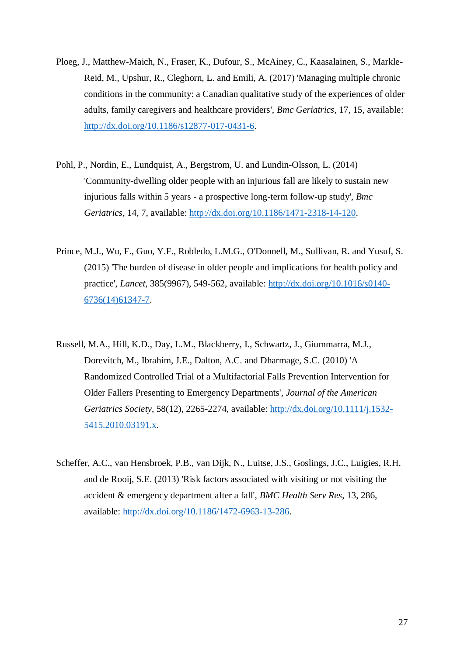- Ploeg, J., Matthew-Maich, N., Fraser, K., Dufour, S., McAiney, C., Kaasalainen, S., Markle-Reid, M., Upshur, R., Cleghorn, L. and Emili, A. (2017) 'Managing multiple chronic conditions in the community: a Canadian qualitative study of the experiences of older adults, family caregivers and healthcare providers', *Bmc Geriatrics*, 17, 15, available: [http://dx.doi.org/10.1186/s12877-017-0431-6.](http://dx.doi.org/10.1186/s12877-017-0431-6)
- Pohl, P., Nordin, E., Lundquist, A., Bergstrom, U. and Lundin-Olsson, L. (2014) 'Community-dwelling older people with an injurious fall are likely to sustain new injurious falls within 5 years - a prospective long-term follow-up study', *Bmc Geriatrics*, 14, 7, available: [http://dx.doi.org/10.1186/1471-2318-14-120.](http://dx.doi.org/10.1186/1471-2318-14-120)
- Prince, M.J., Wu, F., Guo, Y.F., Robledo, L.M.G., O'Donnell, M., Sullivan, R. and Yusuf, S. (2015) 'The burden of disease in older people and implications for health policy and practice', *Lancet*, 385(9967), 549-562, available: [http://dx.doi.org/10.1016/s0140-](http://dx.doi.org/10.1016/s0140-6736(14)61347-7) [6736\(14\)61347-7.](http://dx.doi.org/10.1016/s0140-6736(14)61347-7)
- Russell, M.A., Hill, K.D., Day, L.M., Blackberry, I., Schwartz, J., Giummarra, M.J., Dorevitch, M., Ibrahim, J.E., Dalton, A.C. and Dharmage, S.C. (2010) 'A Randomized Controlled Trial of a Multifactorial Falls Prevention Intervention for Older Fallers Presenting to Emergency Departments', *Journal of the American Geriatrics Society*, 58(12), 2265-2274, available: [http://dx.doi.org/10.1111/j.1532-](http://dx.doi.org/10.1111/j.1532-5415.2010.03191.x) [5415.2010.03191.x.](http://dx.doi.org/10.1111/j.1532-5415.2010.03191.x)
- Scheffer, A.C., van Hensbroek, P.B., van Dijk, N., Luitse, J.S., Goslings, J.C., Luigies, R.H. and de Rooij, S.E. (2013) 'Risk factors associated with visiting or not visiting the accident & emergency department after a fall', *BMC Health Serv Res*, 13, 286, available: [http://dx.doi.org/10.1186/1472-6963-13-286.](http://dx.doi.org/10.1186/1472-6963-13-286)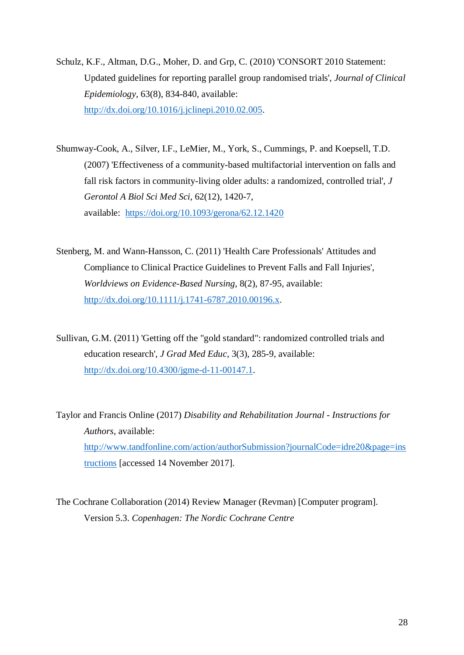- Schulz, K.F., Altman, D.G., Moher, D. and Grp, C. (2010) 'CONSORT 2010 Statement: Updated guidelines for reporting parallel group randomised trials', *Journal of Clinical Epidemiology*, 63(8), 834-840, available: [http://dx.doi.org/10.1016/j.jclinepi.2010.02.005.](http://dx.doi.org/10.1016/j.jclinepi.2010.02.005)
- Shumway-Cook, A., Silver, I.F., LeMier, M., York, S., Cummings, P. and Koepsell, T.D. (2007) 'Effectiveness of a community-based multifactorial intervention on falls and fall risk factors in community-living older adults: a randomized, controlled trial', *J Gerontol A Biol Sci Med Sci*, 62(12), 1420-7, available: <https://doi.org/10.1093/gerona/62.12.1420>
- Stenberg, M. and Wann-Hansson, C. (2011) 'Health Care Professionals' Attitudes and Compliance to Clinical Practice Guidelines to Prevent Falls and Fall Injuries', *Worldviews on Evidence-Based Nursing*, 8(2), 87-95, available: [http://dx.doi.org/10.1111/j.1741-6787.2010.00196.x.](http://dx.doi.org/10.1111/j.1741-6787.2010.00196.x)
- Sullivan, G.M. (2011) 'Getting off the "gold standard": randomized controlled trials and education research', *J Grad Med Educ*, 3(3), 285-9, available: [http://dx.doi.org/10.4300/jgme-d-11-00147.1.](http://dx.doi.org/10.4300/jgme-d-11-00147.1)
- Taylor and Francis Online (2017) *Disability and Rehabilitation Journal - Instructions for Authors*, available: [http://www.tandfonline.com/action/authorSubmission?journalCode=idre20&page=ins](http://www.tandfonline.com/action/authorSubmission?journalCode=idre20&page=instructions) [tructions](http://www.tandfonline.com/action/authorSubmission?journalCode=idre20&page=instructions) [accessed 14 November 2017].
- The Cochrane Collaboration (2014) Review Manager (Revman) [Computer program]. Version 5.3. *Copenhagen: The Nordic Cochrane Centre*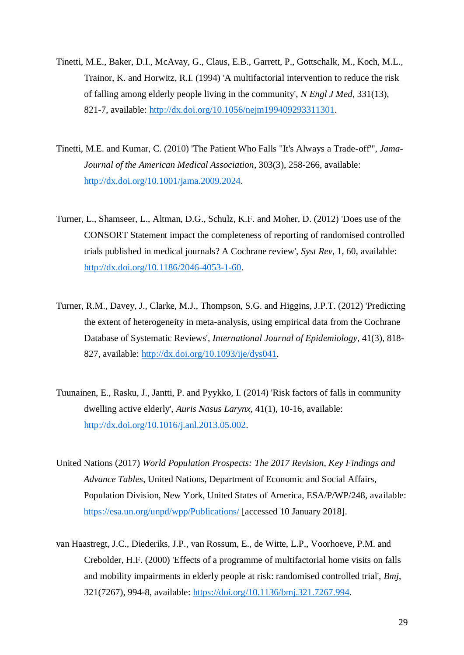- Tinetti, M.E., Baker, D.I., McAvay, G., Claus, E.B., Garrett, P., Gottschalk, M., Koch, M.L., Trainor, K. and Horwitz, R.I. (1994) 'A multifactorial intervention to reduce the risk of falling among elderly people living in the community', *N Engl J Med*, 331(13), 821-7, available: [http://dx.doi.org/10.1056/nejm199409293311301.](http://dx.doi.org/10.1056/nejm199409293311301)
- Tinetti, M.E. and Kumar, C. (2010) 'The Patient Who Falls "It's Always a Trade-off"', *Jama-Journal of the American Medical Association*, 303(3), 258-266, available: [http://dx.doi.org/10.1001/jama.2009.2024.](http://dx.doi.org/10.1001/jama.2009.2024)
- Turner, L., Shamseer, L., Altman, D.G., Schulz, K.F. and Moher, D. (2012) 'Does use of the CONSORT Statement impact the completeness of reporting of randomised controlled trials published in medical journals? A Cochrane review', *Syst Rev*, 1, 60, available: [http://dx.doi.org/10.1186/2046-4053-1-60.](http://dx.doi.org/10.1186/2046-4053-1-60)
- Turner, R.M., Davey, J., Clarke, M.J., Thompson, S.G. and Higgins, J.P.T. (2012) 'Predicting the extent of heterogeneity in meta-analysis, using empirical data from the Cochrane Database of Systematic Reviews', *International Journal of Epidemiology*, 41(3), 818- 827, available: [http://dx.doi.org/10.1093/ije/dys041.](http://dx.doi.org/10.1093/ije/dys041)
- Tuunainen, E., Rasku, J., Jantti, P. and Pyykko, I. (2014) 'Risk factors of falls in community dwelling active elderly', *Auris Nasus Larynx*, 41(1), 10-16, available: [http://dx.doi.org/10.1016/j.anl.2013.05.002.](http://dx.doi.org/10.1016/j.anl.2013.05.002)
- United Nations (2017) *World Population Prospects: The 2017 Revision, Key Findings and Advance Tables*, United Nations, Department of Economic and Social Affairs, Population Division, New York, United States of America, ESA/P/WP/248, available: <https://esa.un.org/unpd/wpp/Publications/> [accessed 10 January 2018].
- van Haastregt, J.C., Diederiks, J.P., van Rossum, E., de Witte, L.P., Voorhoeve, P.M. and Crebolder, H.F. (2000) 'Effects of a programme of multifactorial home visits on falls and mobility impairments in elderly people at risk: randomised controlled trial', *Bmj*, 321(7267), 994-8, available: [https://doi.org/10.1136/bmj.321.7267.994.](https://doi.org/10.1136/bmj.321.7267.994)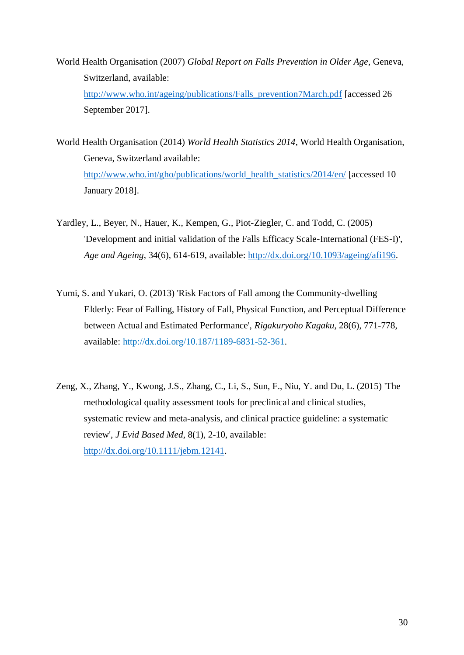- World Health Organisation (2007) *Global Report on Falls Prevention in Older Age*, Geneva, Switzerland, available: [http://www.who.int/ageing/publications/Falls\\_prevention7March.pdf](http://www.who.int/ageing/publications/Falls_prevention7March.pdf) [accessed 26 September 2017].
- World Health Organisation (2014) *World Health Statistics 2014*, World Health Organisation, Geneva, Switzerland available: [http://www.who.int/gho/publications/world\\_health\\_statistics/2014/en/](http://www.who.int/gho/publications/world_health_statistics/2014/en/) [accessed 10 January 2018].
- Yardley, L., Beyer, N., Hauer, K., Kempen, G., Piot-Ziegler, C. and Todd, C. (2005) 'Development and initial validation of the Falls Efficacy Scale-International (FES-I)', *Age and Ageing*, 34(6), 614-619, available: [http://dx.doi.org/10.1093/ageing/afi196.](http://dx.doi.org/10.1093/ageing/afi196)
- Yumi, S. and Yukari, O. (2013) 'Risk Factors of Fall among the Community-dwelling Elderly: Fear of Falling, History of Fall, Physical Function, and Perceptual Difference between Actual and Estimated Performance', *Rigakuryoho Kagaku*, 28(6), 771-778, available: http://dx.doi.org/10.187/1189-6831-52-361.
- Zeng, X., Zhang, Y., Kwong, J.S., Zhang, C., Li, S., Sun, F., Niu, Y. and Du, L. (2015) 'The methodological quality assessment tools for preclinical and clinical studies, systematic review and meta-analysis, and clinical practice guideline: a systematic review', *J Evid Based Med*, 8(1), 2-10, available: [http://dx.doi.org/10.1111/jebm.12141.](http://dx.doi.org/10.1111/jebm.12141)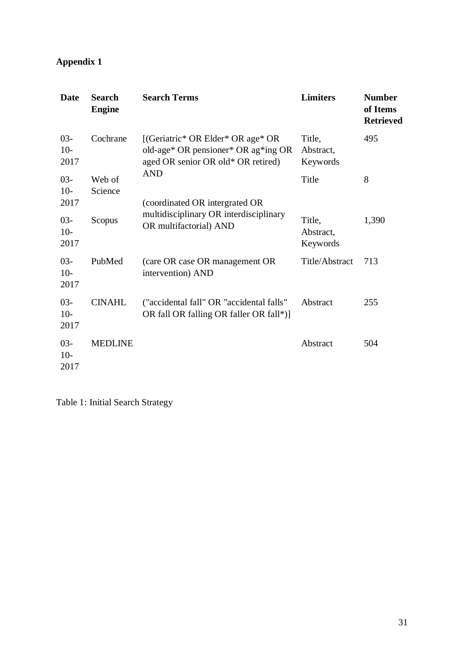## **Appendix 1**

| <b>Date</b>             | <b>Search</b><br><b>Engine</b> | <b>Search Terms</b>                                                                                            | <b>Limiters</b>                 | <b>Number</b><br>of Items<br><b>Retrieved</b> |
|-------------------------|--------------------------------|----------------------------------------------------------------------------------------------------------------|---------------------------------|-----------------------------------------------|
| $03 -$<br>$10-$<br>2017 | Cochrane                       | [(Geriatric* OR Elder* OR age* OR<br>old-age* OR pensioner* OR ag*ing OR<br>aged OR senior OR old* OR retired) | Title,<br>Abstract,<br>Keywords | 495                                           |
| $03 -$<br>$10-$<br>2017 | Web of<br>Science              | <b>AND</b><br>(coordinated OR intergrated OR                                                                   | Title                           | 8                                             |
| $03 -$<br>$10-$<br>2017 | Scopus                         | multidisciplinary OR interdisciplinary<br>OR multifactorial) AND                                               | Title,<br>Abstract,<br>Keywords | 1,390                                         |
| $03 -$<br>$10-$<br>2017 | PubMed                         | (care OR case OR management OR<br>intervention) AND                                                            | Title/Abstract                  | 713                                           |
| $03 -$<br>$10-$<br>2017 | <b>CINAHL</b>                  | ("accidental fall" OR "accidental falls"<br>OR fall OR falling OR faller OR fall*)]                            | Abstract                        | 255                                           |
| $03 -$<br>$10-$<br>2017 | <b>MEDLINE</b>                 |                                                                                                                | Abstract                        | 504                                           |

Table 1: Initial Search Strategy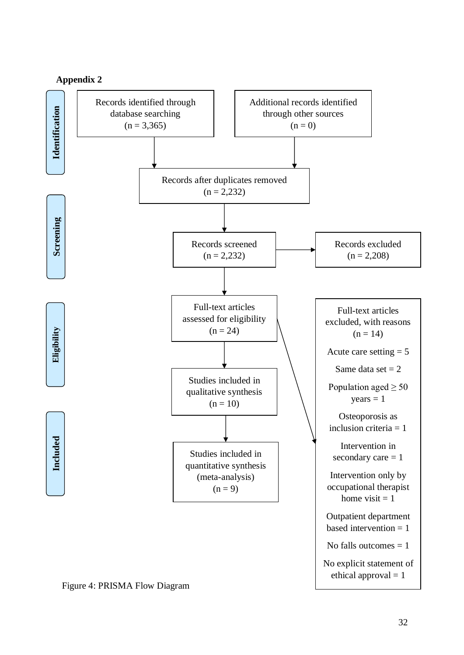

32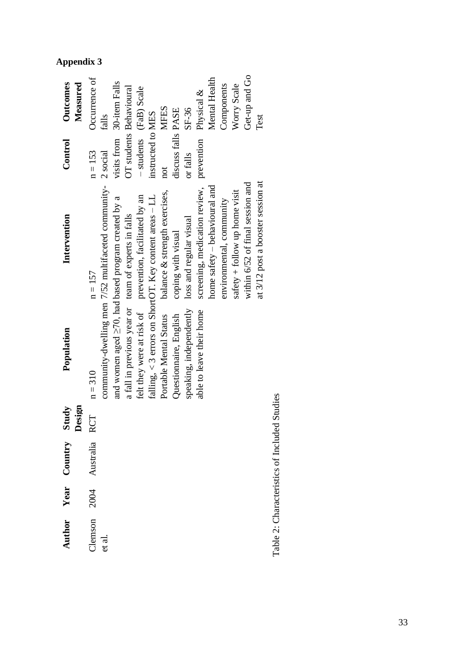| Outcomes<br>Measured    | Get-up and Go<br>Mental Health<br>Occurrence of<br>visits from 30-item Falls<br>Components<br>Worry Scale<br><b>OT</b> students Behavioural<br>- students (FaB) Scale<br>prevention Physical &<br>SF-36<br>MFES<br>Test<br>falls                                                                                                                                                                                                                                                                                                                                                                                |
|-------------------------|-----------------------------------------------------------------------------------------------------------------------------------------------------------------------------------------------------------------------------------------------------------------------------------------------------------------------------------------------------------------------------------------------------------------------------------------------------------------------------------------------------------------------------------------------------------------------------------------------------------------|
| Control                 | discuss falls PASE<br>instructed to MES<br>$n = 153$<br>or falls<br>not                                                                                                                                                                                                                                                                                                                                                                                                                                                                                                                                         |
| Intervention            | community-dwelling men 7/52 multifaceted community- 2 social<br>at 3/12 post a booster session at<br>within 6/52 of final session and<br>screening, medication review,<br>home safety – behavioural and<br>balance & strength exercises,<br>safety $+$ follow up home visit<br>falling, $<$ 3 errors on ShortOT. Key content areas – LL<br>felt they were at risk of prevention, facilitated by an<br>and women aged $\geq$ 70, had based program created by a<br>environmental, community<br>a fall in previous year or team of experts in falls<br>loss and regular visual<br>coping with visual<br>$n = 157$ |
| Population              | speaking, independently<br>able to leave their home<br>Portable Mental Status<br>Questionnaire, English<br>$n = 310$                                                                                                                                                                                                                                                                                                                                                                                                                                                                                            |
|                         |                                                                                                                                                                                                                                                                                                                                                                                                                                                                                                                                                                                                                 |
| Country Study<br>Design | Australia RCT                                                                                                                                                                                                                                                                                                                                                                                                                                                                                                                                                                                                   |
|                         | 2004                                                                                                                                                                                                                                                                                                                                                                                                                                                                                                                                                                                                            |
| Author Year             | Clemson<br>et al.                                                                                                                                                                                                                                                                                                                                                                                                                                                                                                                                                                                               |

Table 2: Characteristics of Included Studies Table 2: Characteristics of Included Studies

# **Appendix 3**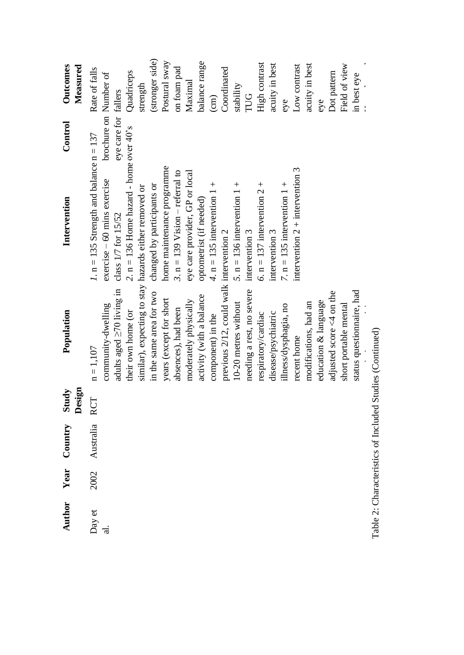| Author | Year | Country                              | Study      | Population                               | Control<br>Intervention                               | Outcomes              |
|--------|------|--------------------------------------|------------|------------------------------------------|-------------------------------------------------------|-----------------------|
|        |      |                                      | Design     |                                          |                                                       | Measured              |
| Day et | 2002 | Australia                            | <b>RCT</b> | $n = 1,107$                              | 1. $n = 135$ Strength and balance $n = 137$           | Rate of falls         |
| ನ      |      |                                      |            | community-dwelling                       | exercise – 60 mins exercise                           | brochure on Number of |
|        |      |                                      |            | adults aged $\geq$ 70 living in          | eye care for fallers<br>class 1/7 for 15/52           |                       |
|        |      |                                      |            | their own home (or                       | 2. $n = 136$ Home hazard - home over 40's             | Quadriceps            |
|        |      |                                      |            |                                          | similar), expecting to stay hazards either removed or | strength              |
|        |      |                                      |            | in the same area for two                 | changed by participants or                            | (stronger side)       |
|        |      |                                      |            | years (except for short                  | home maintenance programme                            | Postural sway         |
|        |      |                                      |            | absences), had been                      | $3. n = 139$ Vision – referral to                     | on foam pad           |
|        |      |                                      |            | moderately physically                    | eye care provider, GP or local                        | Maximal               |
|        |      |                                      |            | activity (with a balance                 | optometrist (if needed)                               | balance range         |
|        |      |                                      |            | component) in the                        | 4. $n = 135$ intervention 1 +                         | $\binom{cm}{c}$       |
|        |      |                                      |            | previous 2/12, could walk intervention 2 |                                                       | Coordinated           |
|        |      |                                      |            | 10-20 metres without                     | 5. $n = 136$ intervention 1 +                         | stability             |
|        |      |                                      |            | needing a rest, no severe                | intervention 3                                        | TUG                   |
|        |      |                                      |            | respiratory/cardiac                      | 6. $n = 137$ intervention 2 +                         | High contrast         |
|        |      |                                      |            | disease/psychiatric                      | intervention 3                                        | acuity in best        |
|        |      |                                      |            | illness/dysphagia, no                    | $7. n = 135$ intervention 1 +                         | eye                   |
|        |      |                                      |            | recent home                              | intervention $2 +$ intervention 3                     | Low contrast          |
|        |      |                                      |            | modifications, had an                    |                                                       | acuity in best        |
|        |      |                                      |            | education & language                     |                                                       | eye                   |
|        |      |                                      |            | adjusted score $<4$ on the               |                                                       | Dot pattern           |
|        |      |                                      |            | short portable mental                    |                                                       | Field of view         |
|        |      |                                      |            | status questionnaire, had                |                                                       | in best eye           |
|        |      | Table 2: Characteristics of Included |            | Studies (Continued)                      |                                                       |                       |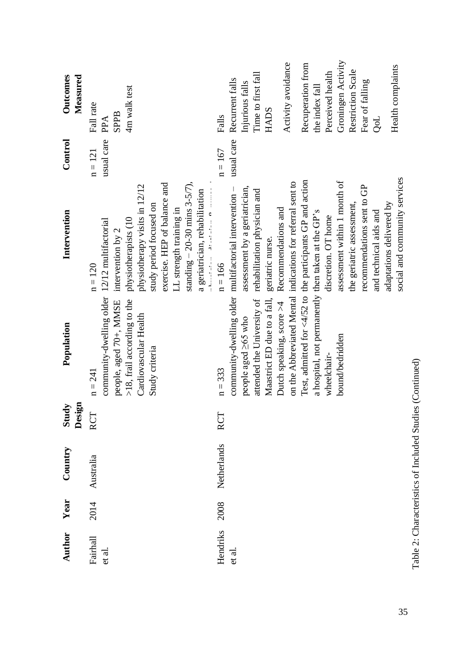| Author             | Year | Country                                                                 | Design<br>Study | Population                                                                                                                                                                                                        | Intervention                                                                                                                                                                                                                                                                                                                                                                                                                                                                                                         | Control                 | Outcomes<br>Measured                                                                                                                                                                                                                                        |
|--------------------|------|-------------------------------------------------------------------------|-----------------|-------------------------------------------------------------------------------------------------------------------------------------------------------------------------------------------------------------------|----------------------------------------------------------------------------------------------------------------------------------------------------------------------------------------------------------------------------------------------------------------------------------------------------------------------------------------------------------------------------------------------------------------------------------------------------------------------------------------------------------------------|-------------------------|-------------------------------------------------------------------------------------------------------------------------------------------------------------------------------------------------------------------------------------------------------------|
| Fairhall<br>et al. | 2014 | Australia                                                               | RCT             | community-dwelling older 12/12 multifactorial<br>$>18$ , frail according to the<br>people, aged 70+, MMSE<br>Cardiovascular Health<br>Study criteria<br>$n = 241$                                                 | standing $- 20-30$ mins 3-5/7),<br>exercise. HEP of balance and<br>physiotherapy visits in 12/12<br>a geriatrician, rehabilitation<br>study period focused on<br>LL strength training in<br>physiotherapists (10<br>intervention by 2<br>$n = 120$                                                                                                                                                                                                                                                                   | usual care<br>$n = 121$ | 4m walk test<br>Fall rate<br>SPPB<br>PPA                                                                                                                                                                                                                    |
| Hendriks<br>et al. | 2008 | Table 2: Characteristics of Included Studies (Continued)<br>Netherlands | RCT             | a hospital, not permanently then taken at the GP's<br>Maastrict ED due to a fall,<br>attended the University of<br>Dutch speaking, score >4<br>people aged 265 who<br>bound/bedridden<br>wheelchair-<br>$n = 333$ | social and community services<br>Test, admitted for <4/52 to the participants GP and action<br>assessment within 1 month of<br>on the Abbreviated Mental indications for referral sent to<br>recommendations sent to GP<br>assessment by a geriatrician,<br>community-dwelling older multifactorial intervention -<br>rehabilitation physician and<br>adaptations delivered by<br>the geriatric assessment,<br>Recommendations and<br>and technical aids and<br>discretion. OT home<br>geriatric nurse.<br>$n = 166$ | usual care<br>$n = 167$ | Groningen Activity<br>Activity avoidance<br>Recuperation from<br>Health complaints<br>Restriction Scale<br>Perceived health<br>Time to first fall<br>Recurrent falls<br>Fear of falling<br>Injurious falls<br>the index fall<br><b>HADS</b><br>Falls<br>QoL |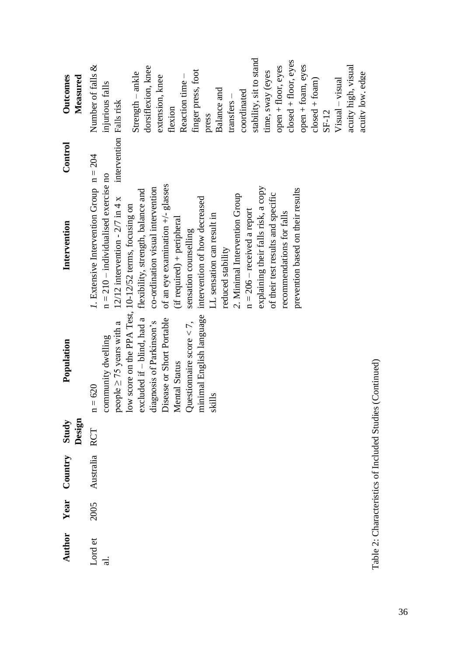| Author       | Year | Country   | Design<br>Study | Population                                                                                                                                                                                                                        | Intervention                                                                                                                                                                                                                                                                                                                                                                                                                                                                                                                                                                                                                                                                                                                                                                        | Control                 | Outcomes<br>Measured                                                                                                                                                                                                                                                                                                                                                                                                           |
|--------------|------|-----------|-----------------|-----------------------------------------------------------------------------------------------------------------------------------------------------------------------------------------------------------------------------------|-------------------------------------------------------------------------------------------------------------------------------------------------------------------------------------------------------------------------------------------------------------------------------------------------------------------------------------------------------------------------------------------------------------------------------------------------------------------------------------------------------------------------------------------------------------------------------------------------------------------------------------------------------------------------------------------------------------------------------------------------------------------------------------|-------------------------|--------------------------------------------------------------------------------------------------------------------------------------------------------------------------------------------------------------------------------------------------------------------------------------------------------------------------------------------------------------------------------------------------------------------------------|
| Lord et<br>ಕ | 2005 | Australia | <b>RCT</b>      | excluded if $-$ blind, had a fl<br>diagnosis of Parkinson's corporation of Disease or Short Portable of<br>Mental Status (i)<br>Questionnaire score $\langle 7, \rangle$ ss<br>minimal English language in<br>$n = 620$<br>skills | 1. Extensive Intervention Group $n = 204$<br>$n = 210 - individualised exercise no$<br>of an eye examination $+/-$ glasses<br>co-ordination visual intervention<br>explaining their falls risk, a copy<br>prevention based on their results<br>flexibility, strength, balance and<br>of their test results and specific<br>2. Minimal Intervention Group<br>12/12 intervention - $2/7$ in 4 x<br>intervention of how decreased<br>community dwelling $n = 210 -$ individualised exe<br>people $\ge 75$ years with a 12/12 intervention - 2/7 in 4<br>low score on the PPA Test, 10-12/52 terms, focusing on<br>$n = 206$ – received a report<br>recommendations for falls<br>LL sensation can result in<br>(if required) + peripheral<br>sensation counselling<br>reduced stability | intervention Falls risk | stability, sit to stand<br>closed + floor, eyes<br>Number of falls $\&$<br>open + foam, eyes<br>dorsiflexion, knee<br>open + floor, eyes<br>acuity high, visual<br>finger press, foot<br>time, sway (eyes<br>Strength - ankle<br>acuity low, edge<br>Reaction time -<br>extension, knee<br>$closed + fcam$ )<br>Visual – visual<br>injurious falls<br>Balance and<br>coordinated<br>$transfers -$<br>flexion<br>SF-12<br>press |

Table 2: Characteristics of Included Studies (Continued)

Table 2: Characteristics of Included Studies (Continued)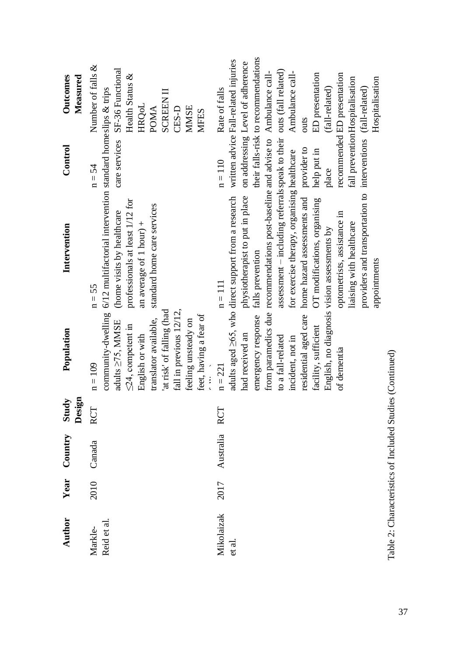| Author                                                   | Year | Country   | Study      | Population                          | Intervention                                                                    | Control       | Outcomes                             |
|----------------------------------------------------------|------|-----------|------------|-------------------------------------|---------------------------------------------------------------------------------|---------------|--------------------------------------|
|                                                          |      |           | Design     |                                     |                                                                                 |               | Measured                             |
| Markle-                                                  | 2010 | Canada    | <b>RCT</b> | $n = 109$                           | $n = 55$                                                                        | $n = 54$      | Number of falls $\&$                 |
| Reid et al.                                              |      |           |            |                                     | community-dwelling 6/12 multifactorial intervention standard homeslips & trips  |               |                                      |
|                                                          |      |           |            | adults ≥75, MMSE                    | (home visits by healthcare                                                      | care services | SF-36 Functional                     |
|                                                          |      |           |            | ≤24, competent in                   | professionals at least 1/12 for                                                 |               | Health Status &                      |
|                                                          |      |           |            | English or with                     | an average of 1 hour) +                                                         |               | <b>HRQoL</b>                         |
|                                                          |      |           |            | translator available,               | standard home care services                                                     |               | <b>POMA</b>                          |
|                                                          |      |           |            | at risk' of falling (had            |                                                                                 |               | <b>SCREEN II</b>                     |
|                                                          |      |           |            | fall in previous 12/12,             |                                                                                 |               | CES-D                                |
|                                                          |      |           |            | feeling unsteady on                 |                                                                                 |               | <b>MMSE</b>                          |
|                                                          |      |           |            | feet, having a fear of              |                                                                                 |               | MFES                                 |
|                                                          |      |           |            |                                     |                                                                                 |               |                                      |
| Mikolaizak                                               | 2017 | Australia | <b>RCT</b> | $n = 221$                           | $n = 111$                                                                       | $n = 110$     | Rate of falls                        |
| et al.                                                   |      |           |            |                                     | adults aged 265, who direct support from a research                             |               | written advice Fall-related injuries |
|                                                          |      |           |            | had received an                     | physiotherapist to put in place                                                 |               | on addressing Level of adherence     |
|                                                          |      |           |            | emergency response falls prevention |                                                                                 |               | their falls-risk to recommendations  |
|                                                          |      |           |            |                                     | from paramedics due recommendations post-baseline and advise to Ambulance call- |               |                                      |
|                                                          |      |           |            | to a fall-related                   | assessment - including referrals speak to their outs (fall related)             |               |                                      |
|                                                          |      |           |            | incident, not in                    | for exercise therapy, organising healthcare                                     |               | Ambulance call-                      |
|                                                          |      |           |            | residential aged care               | home hazard assessments and provider to                                         |               | outs                                 |
|                                                          |      |           |            | facility, sufficient                | OT modifications, organising                                                    | help put in   | ED presentation                      |
|                                                          |      |           |            |                                     | English, no diagnosis vision assessments by                                     | place         | (fall-related)                       |
|                                                          |      |           |            | of dementia                         | optometrists, assistance in                                                     |               | recommended ED presentation          |
|                                                          |      |           |            |                                     | liaising with healthcare                                                        |               | fall preventionHospitalisation       |
|                                                          |      |           |            |                                     | providers and transportation to interventions (fall-related)                    |               |                                      |
|                                                          |      |           |            |                                     | appointments                                                                    |               | Hospitalisation                      |
| Table 2: Characteristics of Included Studies (Continued) |      |           |            |                                     |                                                                                 |               |                                      |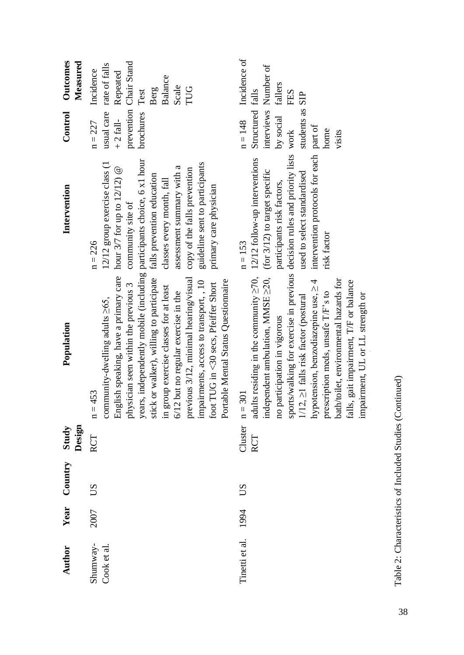| Author         | Year | Country | Study      | Population                                                                                                                                                       | Intervention                            | Control          | Outcomes                 |
|----------------|------|---------|------------|------------------------------------------------------------------------------------------------------------------------------------------------------------------|-----------------------------------------|------------------|--------------------------|
|                |      |         | Design     |                                                                                                                                                                  |                                         |                  | Measured                 |
| Shumway-       | 2007 | SU      | <b>RCT</b> | $n = 453$                                                                                                                                                        | $n = 226$                               | $n = 227$        | Incidence                |
| Cook et al.    |      |         |            | community-dwelling adults $\geq 65$ ,                                                                                                                            | 12/12 group exercise class (1           |                  | usual care rate of falls |
|                |      |         |            | English speaking, have a primary care                                                                                                                            | hour $3/7$ for up to $12/12$ ) $@$      | $+2$ fall-       | Repeated                 |
|                |      |         |            | sician seen within the previous 3<br>phy                                                                                                                         | community site of                       |                  | prevention Chair Stand   |
|                |      |         |            | years, independently mobile (including participants choice, 6 x1 hour<br>stick or walker), willing to participate falls prevention education                     |                                         | brochures        | Test                     |
|                |      |         |            |                                                                                                                                                                  |                                         |                  | Berg                     |
|                |      |         |            | in group exercise classes for at least                                                                                                                           | classes every month, fall               |                  | Balance                  |
|                |      |         |            | 6/12 but no regular exercise in the                                                                                                                              | assessment summary with a               |                  | Scale                    |
|                |      |         |            | previous 3/12, minimal hearing/visual                                                                                                                            | copy of the falls prevention            |                  | TUG                      |
|                |      |         |            | impairments, access to transport, , 10                                                                                                                           | guideline sent to participants          |                  |                          |
|                |      |         |            | foot TUG in <30 secs, Pfeiffer Short                                                                                                                             | primary care physician                  |                  |                          |
|                |      |         |            | Portable Mental Status Questionnaire                                                                                                                             |                                         |                  |                          |
| Tinetti et al. | 1994 | SU      | Cluster    | 301<br>$\mathop{\rm m}\limits_{\rm n}$                                                                                                                           | $n = 153$                               | $n = 148$        | Incidence of             |
|                |      |         | RCT        | adults residing in the community $\geq 70$ ,                                                                                                                     | 12/12 follow-up interventions           | Structured falls |                          |
|                |      |         |            | independent ambulation, MMSE ≥20,                                                                                                                                | (for 3/12) to target specific           |                  | interviews Number of     |
|                |      |         |            | participation in vigorous<br>$\frac{1}{2}$                                                                                                                       | participants risk factors,              | by social        | fallers                  |
|                |      |         |            | sports/walking for exercise in previous decision rules and priority lists work $1/12$ , $\geq 1$ falls risk factor (postural used to select standardised student |                                         |                  | FES                      |
|                |      |         |            |                                                                                                                                                                  |                                         | students as      | SIP                      |
|                |      |         |            | hypotension, benzodiazepine use, $\geq$ 4<br>y contained as a prescription meds, unsafe T/F's to<br>bath/toilet antiens                                          | intervention protocols for each part of |                  |                          |
|                |      |         |            |                                                                                                                                                                  | risk factor                             | home             |                          |
|                |      |         |            | h/toilet, environmental hazards for                                                                                                                              |                                         | visits           |                          |
|                |      |         |            | falls, gait impairment, T/F or balance                                                                                                                           |                                         |                  |                          |
|                |      |         |            | impairment, UL or LL strength or                                                                                                                                 |                                         |                  |                          |
|                |      |         |            |                                                                                                                                                                  |                                         |                  |                          |

Table 2: Characteristics of Included Studies (Continued) Table 2: Characteristics of Included Studies (Continued)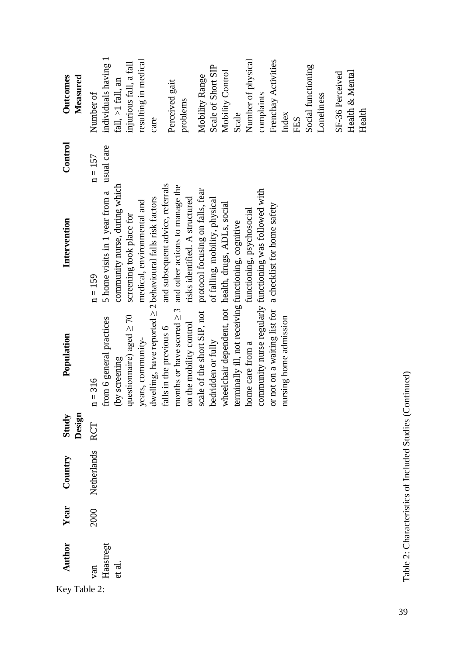| Outcomes<br>Measured | individuals having 1<br>Number of physical<br>resulting in medical<br>Frenchay Activities<br>injurious fall, a fall<br>Scale of Short SIP<br>Social functioning<br>Mobility Control<br>Health & Mental<br>SF-36 Perceived<br>Mobility Range<br>fall, $>1$ fall, an<br>Perceived gait<br>Number of<br>complaints<br>Loneliness<br>problems<br>Health<br>Index<br>Scale<br>FES<br>care                                                                                                                                                                                                                                             |
|----------------------|----------------------------------------------------------------------------------------------------------------------------------------------------------------------------------------------------------------------------------------------------------------------------------------------------------------------------------------------------------------------------------------------------------------------------------------------------------------------------------------------------------------------------------------------------------------------------------------------------------------------------------|
| Control              | usual care<br>$n = 157$                                                                                                                                                                                                                                                                                                                                                                                                                                                                                                                                                                                                          |
| Intervention         | and subsequent advice, referrals<br>community nurse, during which<br>and other actions to manage the<br>protocol focusing on falls, fear<br>community nurse regularly functioning was followed with<br>5 home visits in 1 year from a<br>risks identified. A structured<br>divelling, have reported $\geq$ 2 behavioural falls risk factors<br>of falling, mobility, physical<br>medical, environmental and<br>wheelchair dependent, not health, drugs, ADLs, social<br>a checklist for home safety<br>functioning, psychosocial<br>screening took place for<br>erminally ill, not receiving functioning, cognitive<br>$n = 159$ |
| Population           | or not on a waiting list for<br>months or have scored $\geq$ 3<br>scale of the short SIP, not<br>questionnaire) aged $\geq 70$<br>nursing home admission<br>from 6 general practices<br>on the mobility control<br>alls in the previous 6<br>years, community-<br>bedridden or fully<br>nome care from a<br>by screening<br>$1 = 316$                                                                                                                                                                                                                                                                                            |
| Design<br>Study      | RCT                                                                                                                                                                                                                                                                                                                                                                                                                                                                                                                                                                                                                              |
| Country              | Netherlands                                                                                                                                                                                                                                                                                                                                                                                                                                                                                                                                                                                                                      |
| Year                 | 2000                                                                                                                                                                                                                                                                                                                                                                                                                                                                                                                                                                                                                             |
| Author               | Haastregt<br>et al<br>van                                                                                                                                                                                                                                                                                                                                                                                                                                                                                                                                                                                                        |
| Key Table 2:         |                                                                                                                                                                                                                                                                                                                                                                                                                                                                                                                                                                                                                                  |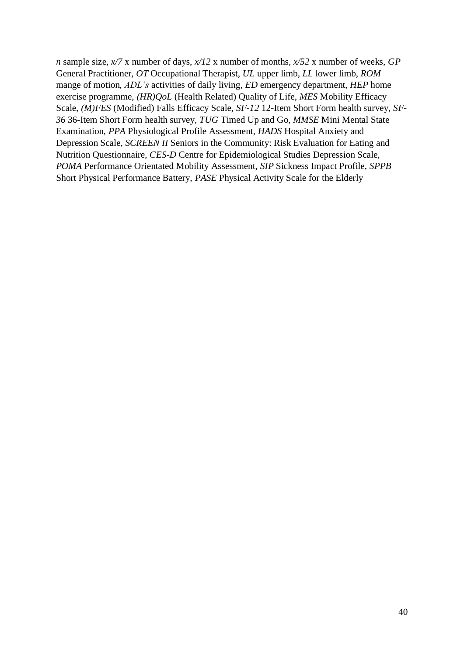*n* sample size, *x/7* x number of days, *x/12* x number of months, *x/52* x number of weeks, *GP* General Practitioner, *OT* Occupational Therapist, *UL* upper limb, *LL* lower limb, *ROM*  mange of motion*, ADL's* activities of daily living, *ED* emergency department, *HEP* home exercise programme, *(HR)QoL* (Health Related) Quality of Life, *MES* Mobility Efficacy Scale, *(M)FES* (Modified) Falls Efficacy Scale, *SF-12* 12-Item Short Form health survey, *SF-36* 36-Item Short Form health survey, *TUG* Timed Up and Go, *MMSE* Mini Mental State Examination, *PPA* Physiological Profile Assessment, *HADS* Hospital Anxiety and Depression Scale, *SCREEN II* Seniors in the Community: Risk Evaluation for Eating and Nutrition Questionnaire, *CES-D* Centre for Epidemiological Studies Depression Scale, *POMA* Performance Orientated Mobility Assessment, *SIP* Sickness Impact Profile, *SPPB* Short Physical Performance Battery, *PASE* Physical Activity Scale for the Elderly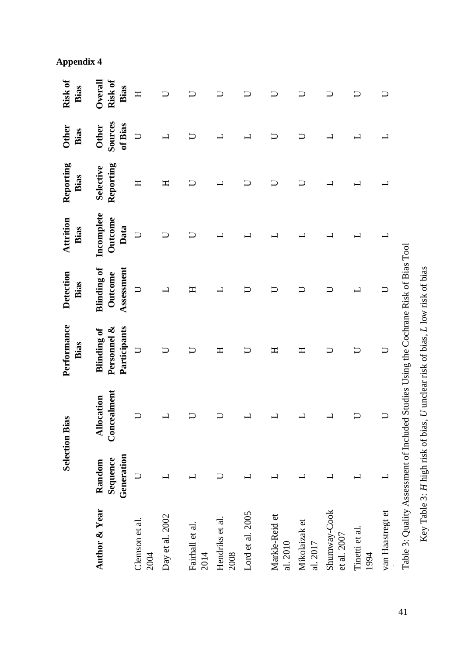|                                                                                      |                                  | <b>Selection Bias</b>            | Performance<br>Bias                               | Detection<br>Bias                           | Attrition<br>Bias             | Reporting<br>Bias                             | <b>Other</b><br>Bias               | Risk of<br>Bias            |
|--------------------------------------------------------------------------------------|----------------------------------|----------------------------------|---------------------------------------------------|---------------------------------------------|-------------------------------|-----------------------------------------------|------------------------------------|----------------------------|
| Author & Year                                                                        | Generation<br>Sequence<br>Random | Concealment<br><b>Allocation</b> | Personnel &<br>Participants<br><b>Blinding of</b> | <b>Blinding of</b><br>Assessment<br>Outcome | Incomplete<br>Outcome<br>Data | Reporting<br>Selective                        | Sources<br>of Bias<br><b>Other</b> | Risk of<br>Overall<br>Bias |
| Clemson et al.<br>2004                                                               |                                  |                                  | $\overline{\mathsf{U}}$                           | $\Box$                                      | $\cup$                        | $\mathbf{\Xi}$                                | $\Box$                             | Η                          |
| Day et al. 2002                                                                      | $\overline{\phantom{0}}$         |                                  |                                                   | $\overline{\phantom{0}}$                    | D                             | Η                                             | $\overline{\phantom{0}}$           |                            |
| Fairhall et al.<br>2014                                                              | $\overline{\phantom{0}}$         |                                  |                                                   | H                                           | $\overline{\cup}$             | $\cup$                                        | $\overline{\cup}$                  |                            |
| Hendriks et al.<br>2008                                                              | $\cup$                           |                                  | Η                                                 | $\overline{\phantom{0}}$                    | ب                             |                                               | $\overline{\phantom{0}}$           |                            |
| Lord et al. 2005                                                                     | $\overline{\phantom{0}}$         |                                  | $\cup$                                            | $\cup$                                      | 凵                             | $\overline{\cup}$                             | $\overline{\phantom{0}}$           |                            |
| Markle-Reid et<br>al. 2010                                                           | $\overline{\phantom{0}}$         |                                  | Η                                                 | D                                           | $\overline{\phantom{0}}$      | コ                                             | コ                                  | コ                          |
| Mikolaizak et<br>al. 2017                                                            | $\overline{\phantom{0}}$         |                                  | H                                                 |                                             | $\overline{\phantom{0}}$      |                                               |                                    |                            |
| Shumway-Cook<br>et al. 2007                                                          | $\mathbf{\overline{L}}$          |                                  |                                                   | $\cup$                                      | L                             | $\mathord{\hspace{1pt}\text{--}\hspace{1pt}}$ | 凵                                  |                            |
| Tinetti et al.<br>1994                                                               | $\overline{\phantom{0}}$         |                                  | $\Box$                                            | $\overline{\phantom{0}}$                    | 凵                             | 凵                                             | $\overline{\phantom{0}}$           | $\Box$                     |
| van Haastregt et                                                                     | $\overline{\phantom{a}}$         | $\Box$                           | $\overline{\mathsf{U}}$                           | $\Box$                                      | $\mathbf{\overline{L}}$       | $\overline{\phantom{0}}$                      | $\overline{\phantom{0}}$           | $\cup$                     |
| Table 3: Quality Assessment of Included Studies Using the Cochrane Risk of Bias Tool |                                  |                                  |                                                   |                                             |                               |                                               |                                    |                            |

# **Appendix 4**

Key Table 3:  $H$  high risk of bias,  $U$  unclear risk of bias,  $L$  low risk of bias Key Table 3: *H* high risk of bias, *U* unclear risk of bias, *L* low risk of bias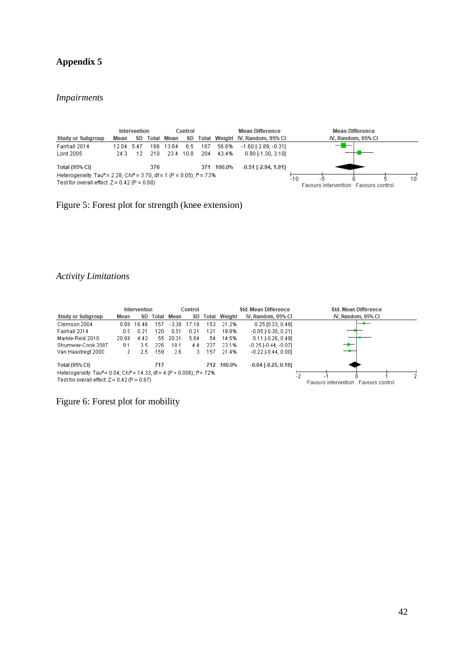## **Appendix 5**

### *Impairments*

|                                                                                                                                                  |            | Intervention |       |            | Control   |      |            | <b>Mean Difference</b>          |       | <b>Mean Difference</b>                      |    |
|--------------------------------------------------------------------------------------------------------------------------------------------------|------------|--------------|-------|------------|-----------|------|------------|---------------------------------|-------|---------------------------------------------|----|
| <b>Study or Subgroup</b>                                                                                                                         | Mean       | SD.          |       | Total Mean | SD        |      |            | Total Weight IV, Random, 95% CI |       | IV. Random, 95% CI                          |    |
| Fairhall 2014                                                                                                                                    | 12.04 5.47 |              | 166.  | 13.64      | 6.5       | 167  | 56.6%      | $-1.60$ F 2.89. $-0.311$        |       | –                                           |    |
| Lord 2005                                                                                                                                        | 24.3.      | 12           | -210- |            | 23.4 10.8 | -204 | 43.4%      | $0.90$ F1.30, 3.101             |       |                                             |    |
| <b>Total (95% CI)</b>                                                                                                                            |            |              | 376   |            |           |      | 371 100.0% | $-0.51$ [ $-2.94$ , 1.91]       |       |                                             |    |
| Heterogeneity: Tau <sup>2</sup> = 2.28; Chi <sup>2</sup> = 3.70, df = 1 (P = 0.05); $P = 73\%$<br>Test for overall effect: $Z = 0.42$ (P = 0.68) |            |              |       |            |           |      |            |                                 | $-10$ | <b>Favours intervention</b> Favours control | 10 |

Figure 5: Forest plot for strength (knee extension)

### *Activity Limitations*

|                                                                                                                                                              | Intervention<br>Control |       |                                                    |                   |                         |      | <b>Std. Mean Difference</b> | <b>Std. Mean Difference</b>   |                    |  |  |
|--------------------------------------------------------------------------------------------------------------------------------------------------------------|-------------------------|-------|----------------------------------------------------|-------------------|-------------------------|------|-----------------------------|-------------------------------|--------------------|--|--|
| <b>Study or Subgroup</b>                                                                                                                                     | Mean                    | SD.   |                                                    | <b>Total Mean</b> | SD.                     |      | <b>Total Weight</b>         | IV, Random, 95% CI            | IV, Random, 95% CI |  |  |
| Clemson 2004                                                                                                                                                 | 0.89                    | 16.46 | 157                                                | $-3.38$           | 17.18                   | 153. | 21.2%                       | $0.25$ [0.03, 0.48]           | —                  |  |  |
| Fairhall 2014                                                                                                                                                | 0.5                     | 0.21  | 120                                                | 0.51              | 0.21                    | 121  | 19.8%                       | $-0.05$ [ $-0.30, 0.21$ ]     |                    |  |  |
| Markle-Reid 2010                                                                                                                                             | 20.89                   | 4.43  | 55.                                                | 20.31             | 5.84                    | 54   | 14.5%                       | $0.11$ [ $-0.26$ , $0.49$ ]   |                    |  |  |
| Shumway-Cook 2007                                                                                                                                            | 9.1                     | 3.5   | 226                                                | 10.1              | 4.4                     | 227  | 23.1%                       | $-0.25$ [ $-0.44$ , $-0.07$ ] | — <b>-</b>         |  |  |
| Van Haastregt 2000                                                                                                                                           |                         | 2.5   | 159                                                | 2.6               | 3.                      | 157  | 21.4%                       | $-0.22$ $[-0.44, 0.00]$       |                    |  |  |
| <b>Total (95% CI)</b>                                                                                                                                        |                         |       | 717                                                |                   | $-0.04$ $[-0.25, 0.16]$ |      |                             |                               |                    |  |  |
| Heterogeneity: Tau <sup>2</sup> = 0.04; Chi <sup>2</sup> = 14.33, df = 4 (P = 0.006); i <sup>2</sup> = 72%<br>Test for overall effect: $Z = 0.42$ (P = 0.67) |                         |       | - 1<br><b>Favours intervention</b> Favours control |                   |                         |      |                             |                               |                    |  |  |

Figure 6: Forest plot for mobility